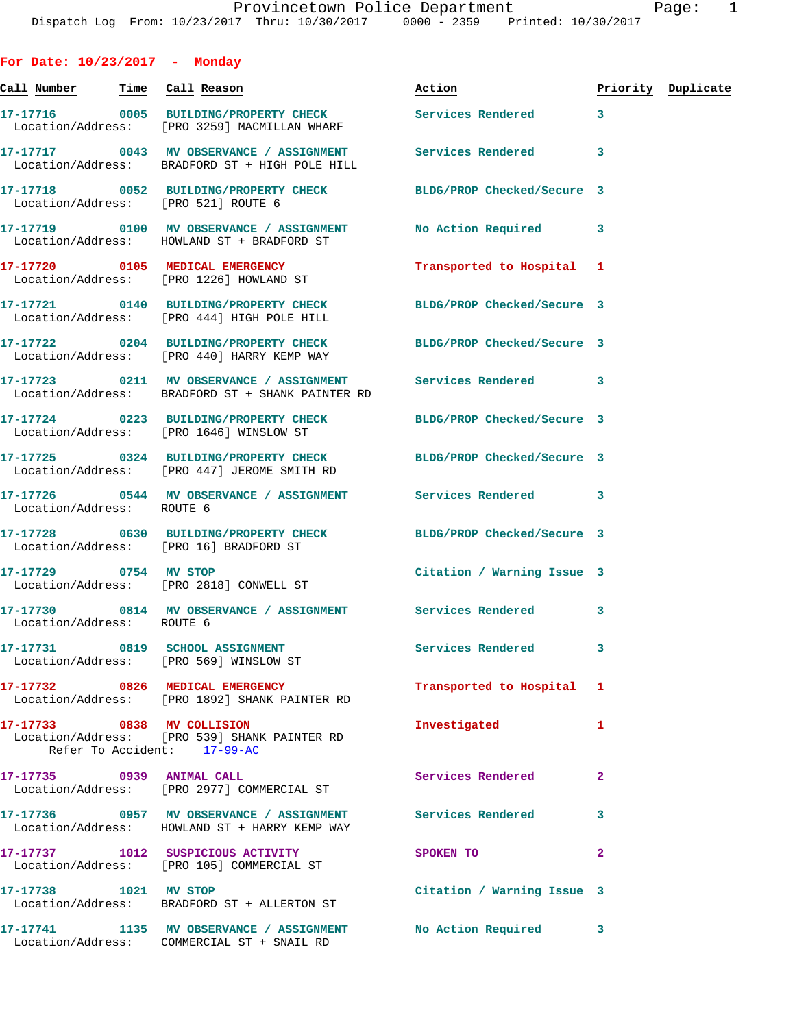| For Date: $10/23/2017$ - Monday |                                                                                                                  |                            |              |                    |
|---------------------------------|------------------------------------------------------------------------------------------------------------------|----------------------------|--------------|--------------------|
| Ca <u>ll Number</u>             | Time Call Reason                                                                                                 | Action                     |              | Priority Duplicate |
|                                 | 17-17716 0005 BUILDING/PROPERTY CHECK Services Rendered 3<br>Location/Address: [PRO 3259] MACMILLAN WHARF        |                            |              |                    |
|                                 | 17-17717 0043 MV OBSERVANCE / ASSIGNMENT Services Rendered<br>Location/Address: BRADFORD ST + HIGH POLE HILL     |                            | 3            |                    |
|                                 | 17-17718 0052 BUILDING/PROPERTY CHECK BLDG/PROP Checked/Secure 3<br>Location/Address: [PRO 521] ROUTE 6          |                            |              |                    |
|                                 | 17-17719 0100 MV OBSERVANCE / ASSIGNMENT<br>Location/Address: HOWLAND ST + BRADFORD ST                           | No Action Required 3       |              |                    |
|                                 | 17-17720 0105 MEDICAL EMERGENCY<br>Location/Address: [PRO 1226] HOWLAND ST                                       | Transported to Hospital 1  |              |                    |
|                                 | 17-17721 0140 BUILDING/PROPERTY CHECK BLDG/PROP Checked/Secure 3<br>Location/Address: [PRO 444] HIGH POLE HILL   |                            |              |                    |
|                                 | 17-17722 0204 BUILDING/PROPERTY CHECK BLDG/PROP Checked/Secure 3<br>Location/Address: [PRO 440] HARRY KEMP WAY   |                            |              |                    |
|                                 | 17-17723 0211 MV OBSERVANCE / ASSIGNMENT Services Rendered 3<br>Location/Address: BRADFORD ST + SHANK PAINTER RD |                            |              |                    |
|                                 | 17-17724 0223 BUILDING/PROPERTY CHECK BLDG/PROP Checked/Secure 3<br>Location/Address: [PRO 1646] WINSLOW ST      |                            |              |                    |
|                                 | 17-17725 0324 BUILDING/PROPERTY CHECK BLDG/PROP Checked/Secure 3<br>Location/Address: [PRO 447] JEROME SMITH RD  |                            |              |                    |
| Location/Address: ROUTE 6       | 17-17726 0544 MV OBSERVANCE / ASSIGNMENT Services Rendered                                                       |                            | 3            |                    |
|                                 | 17-17728 0630 BUILDING/PROPERTY CHECK BLDG/PROP Checked/Secure 3<br>Location/Address: [PRO 16] BRADFORD ST       |                            |              |                    |
|                                 | 17-17729 0754 MV STOP<br>Location/Address: [PRO 2818] CONWELL ST                                                 | Citation / Warning Issue 3 |              |                    |
| Location/Address: ROUTE 6       | 17-17730 0814 MV OBSERVANCE / ASSIGNMENT Services Rendered 3                                                     |                            |              |                    |
|                                 | 17-17731 0819 SCHOOL ASSIGNMENT<br>Location/Address: [PRO 569] WINSLOW ST                                        | Services Rendered          | 3            |                    |
|                                 | 17-17732 0826 MEDICAL EMERGENCY<br>Location/Address: [PRO 1892] SHANK PAINTER RD                                 | Transported to Hospital 1  |              |                    |
| 17-17733 0838 MV COLLISION      | Location/Address: [PRO 539] SHANK PAINTER RD<br>Refer To Accident: 17-99-AC                                      | Investigated               | 1            |                    |
| 17-17735 0939 ANIMAL CALL       | Location/Address: [PRO 2977] COMMERCIAL ST                                                                       | Services Rendered          | 2            |                    |
|                                 | 17-17736 0957 MV OBSERVANCE / ASSIGNMENT Services Rendered<br>Location/Address: HOWLAND ST + HARRY KEMP WAY      |                            | 3            |                    |
|                                 | 17-17737 1012 SUSPICIOUS ACTIVITY<br>Location/Address: [PRO 105] COMMERCIAL ST                                   | SPOKEN TO                  | $\mathbf{2}$ |                    |
|                                 |                                                                                                                  |                            |              |                    |

**17-17738 1021 MV STOP Citation / Warning Issue 3**  Location/Address: BRADFORD ST + ALLERTON ST

**17-17741 1135 MV OBSERVANCE / ASSIGNMENT No Action Required 3**  Location/Address: COMMERCIAL ST + SNAIL RD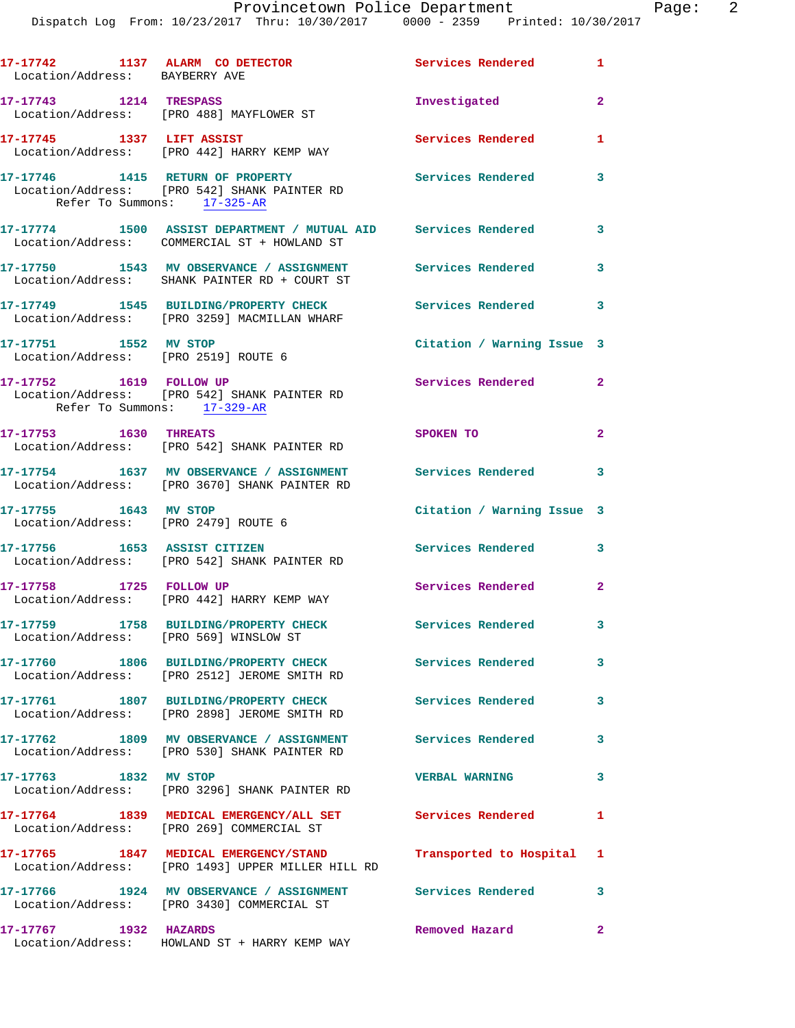Dispatch Log From: 10/23/2017 Thru: 10/30/2017 0000 - 2359 Printed: 10/30/2017

| 17-17742 1137 ALARM CO DETECTOR<br>Location/Address: BAYBERRY AVE |                                                                                                                | Services Rendered          | $\mathbf{1}$            |
|-------------------------------------------------------------------|----------------------------------------------------------------------------------------------------------------|----------------------------|-------------------------|
| 17-17743    1214    TRESPASS                                      | Location/Address: [PRO 488] MAYFLOWER ST                                                                       | Investigated               | $\mathbf{2}$            |
| 17-17745 1337 LIFT ASSIST                                         | Location/Address: [PRO 442] HARRY KEMP WAY                                                                     | Services Rendered          | 1                       |
| Refer To Summons: 17-325-AR                                       | 17-17746 1415 RETURN OF PROPERTY<br>Location/Address: [PRO 542] SHANK PAINTER RD                               | <b>Services Rendered</b>   | 3                       |
|                                                                   | 17-17774 1500 ASSIST DEPARTMENT / MUTUAL AID Services Rendered<br>Location/Address: COMMERCIAL ST + HOWLAND ST |                            | $\overline{\mathbf{3}}$ |
|                                                                   | 17-17750 1543 MV OBSERVANCE / ASSIGNMENT<br>Location/Address: SHANK PAINTER RD + COURT ST                      | <b>Services Rendered</b>   | 3                       |
|                                                                   | 17-17749 1545 BUILDING/PROPERTY CHECK<br>Location/Address: [PRO 3259] MACMILLAN WHARF                          | <b>Services Rendered</b>   | 3                       |
| 17-17751 1552 MV STOP<br>Location/Address: [PRO 2519] ROUTE 6     |                                                                                                                | Citation / Warning Issue 3 |                         |
| 17-17752 1619 FOLLOW UP<br>Refer To Summons: 17-329-AR            | Location/Address: [PRO 542] SHANK PAINTER RD                                                                   | <b>Services Rendered</b>   | $\overline{2}$          |
| 17-17753 1630 THREATS                                             | Location/Address: [PRO 542] SHANK PAINTER RD                                                                   | SPOKEN TO                  | $\mathbf{2}$            |
|                                                                   | 17-17754 1637 MV OBSERVANCE / ASSIGNMENT<br>Location/Address: [PRO 3670] SHANK PAINTER RD                      | Services Rendered 3        |                         |
| 17-17755 1643 MV STOP<br>Location/Address: [PRO 2479] ROUTE 6     |                                                                                                                | Citation / Warning Issue 3 |                         |
| 17-17756 1653 ASSIST CITIZEN                                      | Location/Address: [PRO 542] SHANK PAINTER RD                                                                   | Services Rendered          | 3                       |
| 17-17758 1725 FOLLOW UP                                           | Location/Address: [PRO 442] HARRY KEMP WAY                                                                     | Services Rendered 2        |                         |
| Location/Address: [PRO 569] WINSLOW ST                            | 17-17759 1758 BUILDING/PROPERTY CHECK                                                                          | <b>Services Rendered</b>   |                         |
|                                                                   | 17-17760 1806 BUILDING/PROPERTY CHECK<br>Location/Address: [PRO 2512] JEROME SMITH RD                          | Services Rendered          | $\mathbf{3}$            |
|                                                                   | 17-17761 1807 BUILDING/PROPERTY CHECK<br>Location/Address: [PRO 2898] JEROME SMITH RD                          | <b>Services Rendered</b>   | $\mathbf{3}$            |
|                                                                   | 17-17762 1809 MV OBSERVANCE / ASSIGNMENT Services Rendered<br>Location/Address: [PRO 530] SHANK PAINTER RD     |                            | 3                       |
| 17-17763 1832 MV STOP                                             | Location/Address: [PRO 3296] SHANK PAINTER RD                                                                  | <b>VERBAL WARNING</b>      | 3                       |
|                                                                   | 17-17764 1839 MEDICAL EMERGENCY/ALL SET Services Rendered<br>Location/Address: [PRO 269] COMMERCIAL ST         |                            | $\mathbf{1}$            |
|                                                                   | 17-17765 1847 MEDICAL EMERGENCY/STAND<br>Location/Address: [PRO 1493] UPPER MILLER HILL RD                     | Transported to Hospital 1  |                         |
|                                                                   | 17-17766 1924 MV OBSERVANCE / ASSIGNMENT Services Rendered<br>Location/Address: [PRO 3430] COMMERCIAL ST       |                            | 3                       |
| 17-17767 1932 HAZARDS                                             | Location/Address: HOWLAND ST + HARRY KEMP WAY                                                                  | Removed Hazard             | $\mathbf{2}$            |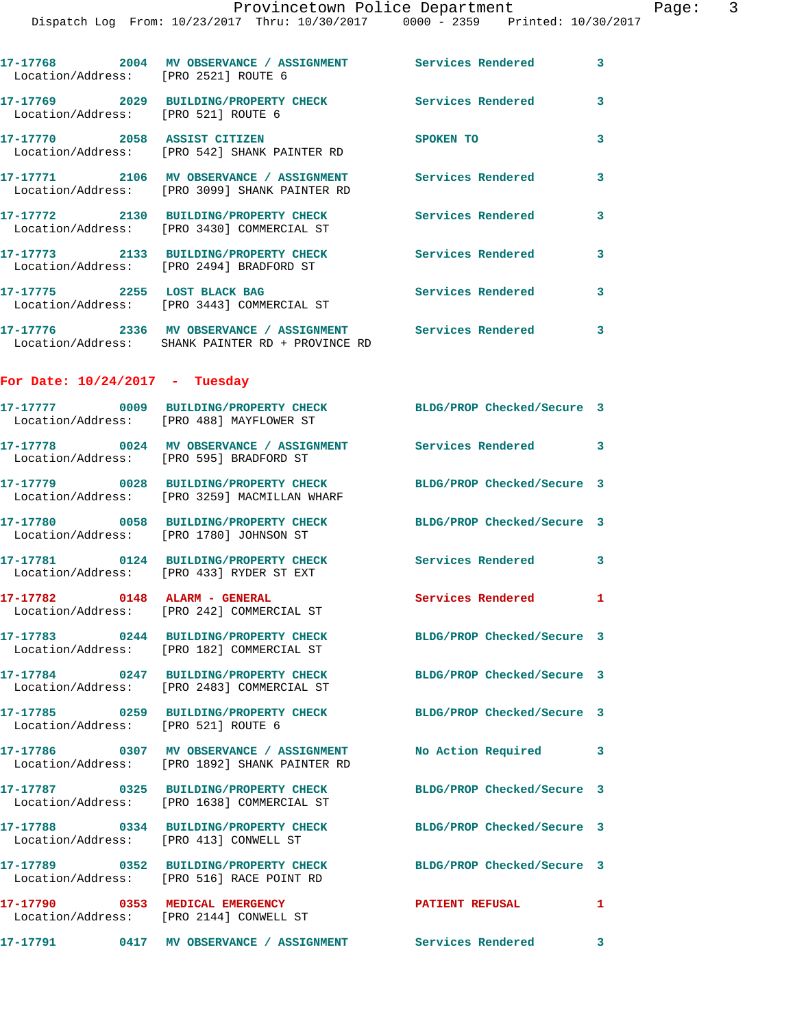|                                      | Dispatch Log From: 10/23/2017 Thru: 10/30/2017 0000 - 2359 Printed: 10/30/2017                                 | Provincetown Police Department | Page: 3      |
|--------------------------------------|----------------------------------------------------------------------------------------------------------------|--------------------------------|--------------|
| Location/Address: [PRO 2521] ROUTE 6 | 17-17768 2004 MV OBSERVANCE / ASSIGNMENT Services Rendered 3                                                   |                                |              |
| Location/Address: [PRO 521] ROUTE 6  | 17-17769 2029 BUILDING/PROPERTY CHECK Services Rendered                                                        |                                | 3            |
|                                      | 17-17770 2058 ASSIST CITIZEN<br>Location/Address: [PRO 542] SHANK PAINTER RD                                   | <b>SPOKEN TO</b>               | 3            |
|                                      | 17-17771 2106 MV OBSERVANCE / ASSIGNMENT Services Rendered<br>Location/Address: [PRO 3099] SHANK PAINTER RD    |                                | 3            |
|                                      | 17-17772 2130 BUILDING/PROPERTY CHECK Services Rendered 3<br>Location/Address: [PRO 3430] COMMERCIAL ST        |                                |              |
|                                      | 17-17773 2133 BUILDING/PROPERTY CHECK Services Rendered<br>Location/Address: [PRO 2494] BRADFORD ST            |                                | 3            |
|                                      | 17-17775 2255 LOST BLACK BAG Services Rendered<br>Location/Address: [PRO 3443] COMMERCIAL ST                   |                                | $\mathbf{3}$ |
|                                      | 17-17776 2336 MV OBSERVANCE / ASSIGNMENT Services Rendered<br>Location/Address: SHANK PAINTER RD + PROVINCE RD |                                | $\mathbf{3}$ |
| For Date: $10/24/2017$ - Tuesday     |                                                                                                                |                                |              |
|                                      | 17-17777  0009 BUILDING/PROPERTY CHECK BLDG/PROP Checked/Secure 3<br>Location/Address: [PRO 488] MAYFLOWER ST  |                                |              |
|                                      | 17-17778 0024 MV OBSERVANCE / ASSIGNMENT Services Rendered 3<br>Location/Address: [PRO 595] BRADFORD ST        |                                |              |
|                                      | 17-17779 0028 BUILDING/PROPERTY CHECK<br>Location/Address: [PRO 3259] MACMILLAN WHARF                          | BLDG/PROP Checked/Secure 3     |              |
|                                      | 17-17780 0058 BUILDING/PROPERTY CHECK BLDG/PROP Checked/Secure 3<br>Location/Address: [PRO 1780] JOHNSON ST    |                                |              |
|                                      | 17-17781 0124 BUILDING/PROPERTY CHECK<br>Location/Address: [PRO 433] RYDER ST EXT                              | Services Rendered 3            |              |
|                                      | 17-17782 0148 ALARM - GENERAL<br>Location/Address: [PRO 242] COMMERCIAL ST                                     | Services Rendered 1            |              |
|                                      | 17-17783 0244 BUILDING/PROPERTY CHECK BLDG/PROP Checked/Secure 3<br>Location/Address: [PRO 182] COMMERCIAL ST  |                                |              |
|                                      | 17-17784 0247 BUILDING/PROPERTY CHECK BLDG/PROP Checked/Secure 3<br>Location/Address: [PRO 2483] COMMERCIAL ST |                                |              |
| Location/Address: [PRO 521] ROUTE 6  | 17-17785 0259 BUILDING/PROPERTY CHECK BLDG/PROP Checked/Secure 3                                               |                                |              |
|                                      | 17-17786 0307 MV OBSERVANCE / ASSIGNMENT<br>Location/Address: [PRO 1892] SHANK PAINTER RD                      | No Action Required 3           |              |
|                                      | 17-17787 0325 BUILDING/PROPERTY CHECK<br>Location/Address: [PRO 1638] COMMERCIAL ST                            | BLDG/PROP Checked/Secure 3     |              |
|                                      | 17-17788 0334 BUILDING/PROPERTY CHECK BLDG/PROP Checked/Secure 3<br>Location/Address: [PRO 413] CONWELL ST     |                                |              |
|                                      | 17-17789 0352 BUILDING/PROPERTY CHECK BLDG/PROP Checked/Secure 3<br>Location/Address: [PRO 516] RACE POINT RD  |                                |              |
|                                      | 17-17790 0353 MEDICAL EMERGENCY<br>Location/Address: [PRO 2144] CONWELL ST                                     | PATIENT REFUSAL                | 1            |
|                                      | 17-17791      0417   MV OBSERVANCE / ASSIGNMENT      Services Rendered                                         |                                | 3            |
|                                      |                                                                                                                |                                |              |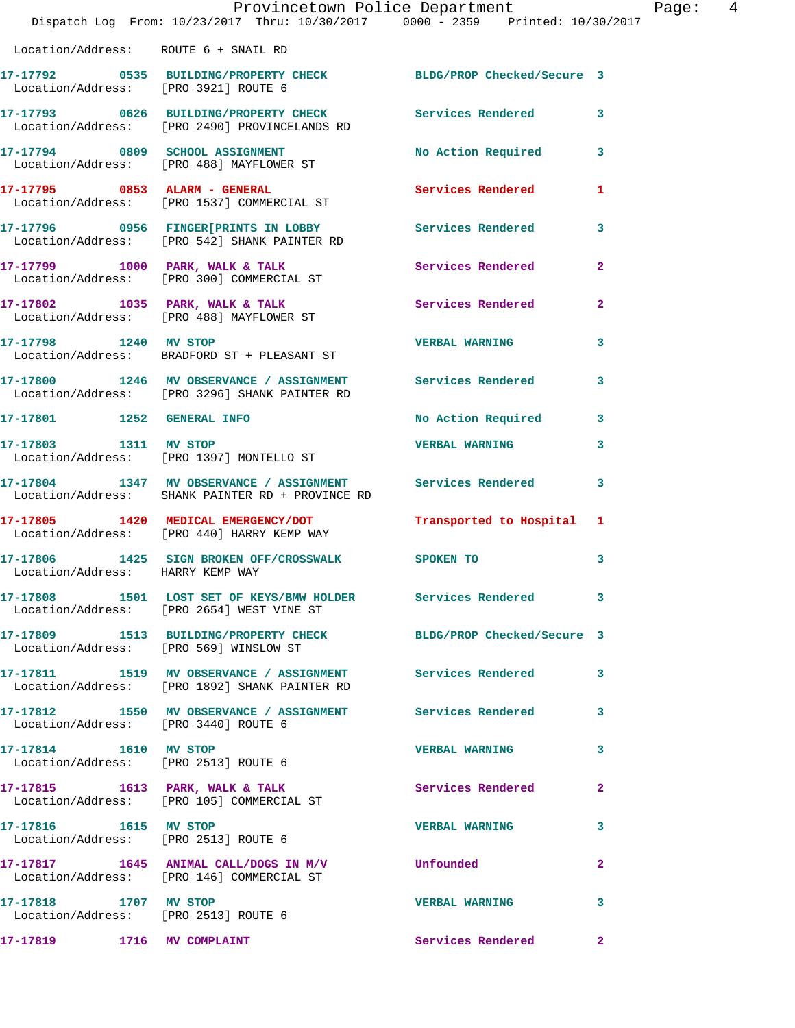|                                                               | Provincetown Police Department<br>Dispatch Log From: 10/23/2017 Thru: 10/30/2017 0000 - 2359 Printed: 10/30/2017 |                           | Page: 4        |
|---------------------------------------------------------------|------------------------------------------------------------------------------------------------------------------|---------------------------|----------------|
| Location/Address: ROUTE 6 + SNAIL RD                          |                                                                                                                  |                           |                |
| Location/Address: [PRO 3921] ROUTE 6                          | 17-17792 0535 BUILDING/PROPERTY CHECK BLDG/PROP Checked/Secure 3                                                 |                           |                |
|                                                               | 17-17793 0626 BUILDING/PROPERTY CHECK Services Rendered 3<br>Location/Address: [PRO 2490] PROVINCELANDS RD       |                           |                |
|                                                               | 17-17794 0809 SCHOOL ASSIGNMENT<br>Location/Address: [PRO 488] MAYFLOWER ST                                      | No Action Required 3      |                |
|                                                               | 17-17795 0853 ALARM - GENERAL<br>Location/Address: [PRO 1537] COMMERCIAL ST                                      | Services Rendered         | $\mathbf{1}$   |
|                                                               | 17-17796 0956 FINGER[PRINTS IN LOBBY Services Rendered Location/Address: [PRO 542] SHANK PAINTER RD              |                           | $\mathbf{3}$   |
|                                                               | 17-17799 1000 PARK, WALK & TALK 1999 Services Rendered<br>Location/Address: [PRO 300] COMMERCIAL ST              |                           | $\overline{2}$ |
|                                                               | 17-17802 1035 PARK, WALK & TALK 6 Services Rendered 2<br>Location/Address: [PRO 488] MAYFLOWER ST                |                           |                |
|                                                               | 17-17798 1240 MV STOP<br>Location/Address: BRADFORD ST + PLEASANT ST                                             | <b>VERBAL WARNING</b>     | $\mathbf{3}$   |
|                                                               | 17-17800 1246 MV OBSERVANCE / ASSIGNMENT Services Rendered 3<br>Location/Address: [PRO 3296] SHANK PAINTER RD    |                           |                |
|                                                               | 17-17801 1252 GENERAL INFO                                                                                       | No Action Required 3      |                |
| 17-17803 1311 MV STOP                                         | Location/Address: [PRO 1397] MONTELLO ST                                                                         | <b>VERBAL WARNING</b>     | $\mathbf{3}$   |
|                                                               | 17-17804 1347 MV OBSERVANCE / ASSIGNMENT Services Rendered<br>Location/Address: SHANK PAINTER RD + PROVINCE RD   |                           | $\mathbf{3}$   |
|                                                               | 17-17805 1420 MEDICAL EMERGENCY/DOT<br>Location/Address: [PRO 440] HARRY KEMP WAY                                | Transported to Hospital 1 |                |
| Location/Address: HARRY KEMP WAY                              | 17-17806 1425 SIGN BROKEN OFF/CROSSWALK SPOKEN TO                                                                |                           | 3              |
|                                                               | 17-17808 1501 LOST SET OF KEYS/BMW HOLDER Services Rendered 3<br>Location/Address: [PRO 2654] WEST VINE ST       |                           |                |
|                                                               | 17-17809 1513 BUILDING/PROPERTY CHECK BLDG/PROP Checked/Secure 3<br>Location/Address: [PRO 569] WINSLOW ST       |                           |                |
|                                                               | 17-17811 1519 MV OBSERVANCE / ASSIGNMENT Services Rendered 3<br>Location/Address: [PRO 1892] SHANK PAINTER RD    |                           |                |
| Location/Address: [PRO 3440] ROUTE 6                          | 17-17812 1550 MV OBSERVANCE / ASSIGNMENT Services Rendered                                                       |                           | 3              |
| 17-17814 1610 MV STOP                                         | Location/Address: [PRO 2513] ROUTE 6                                                                             | <b>VERBAL WARNING</b>     | 3              |
|                                                               | 17-17815 1613 PARK, WALK & TALK<br>Location/Address: [PRO 105] COMMERCIAL ST                                     | Services Rendered         | $\mathbf{2}$   |
| 17-17816   1615   MV   STOP                                   | Location/Address: [PRO 2513] ROUTE 6                                                                             | VERBAL WARNING 3          |                |
|                                                               | 17-17817 1645 ANIMAL CALL/DOGS IN M/V Unfounded<br>Location/Address: [PRO 146] COMMERCIAL ST                     |                           | $\mathbf{2}$   |
| 17-17818 1707 MV STOP<br>Location/Address: [PRO 2513] ROUTE 6 |                                                                                                                  | <b>VERBAL WARNING</b>     | 3              |
| 17-17819 1716 MV COMPLAINT                                    |                                                                                                                  | Services Rendered         | $\mathbf{2}$   |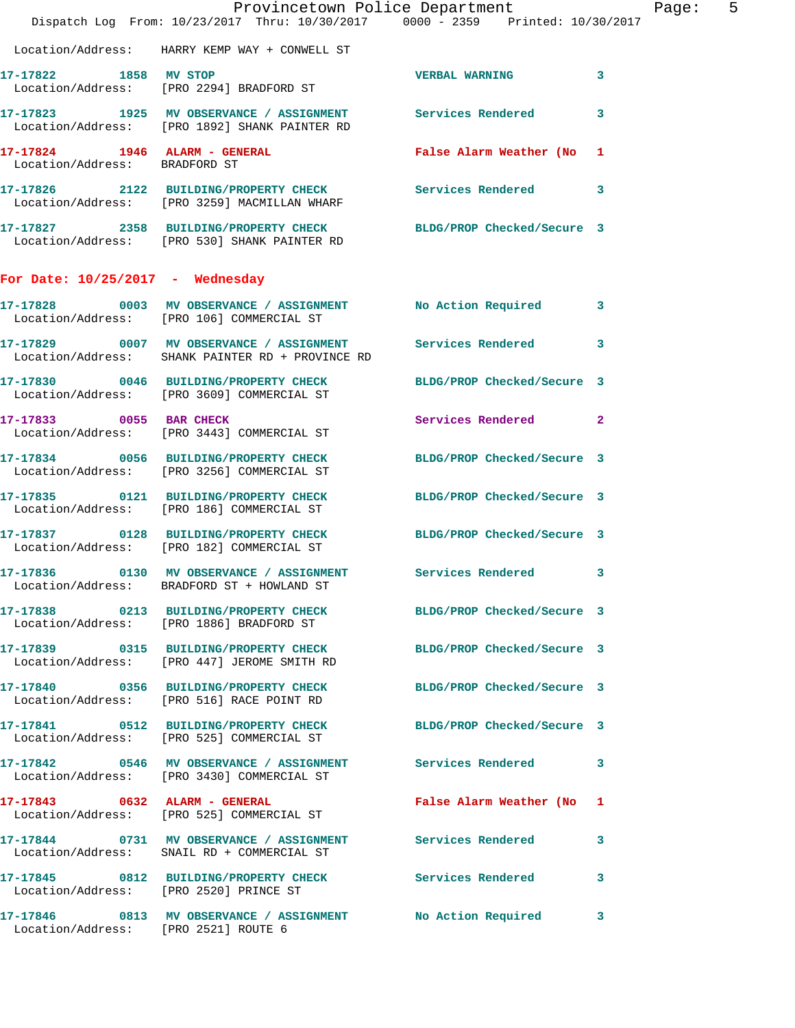|                                      | Dispatch Log From: 10/23/2017 Thru: 10/30/2017 0000 - 2359 Printed: 10/30/2017                                   | Provincetown Police Department | Page: 5 |
|--------------------------------------|------------------------------------------------------------------------------------------------------------------|--------------------------------|---------|
|                                      | Location/Address: HARRY KEMP WAY + CONWELL ST                                                                    |                                |         |
| 17-17822 1858 MV STOP                | Location/Address: [PRO 2294] BRADFORD ST                                                                         | <b>VERBAL WARNING</b> 3        |         |
|                                      | 17-17823 1925 MV OBSERVANCE / ASSIGNMENT Services Rendered 3<br>Location/Address: [PRO 1892] SHANK PAINTER RD    |                                |         |
| Location/Address: BRADFORD ST        | 17-17824 1946 ALARM - GENERAL CONTRACTE False Alarm Weather (No 1                                                |                                |         |
|                                      | 17-17826 2122 BUILDING/PROPERTY CHECK Services Rendered 3<br>Location/Address: [PRO 3259] MACMILLAN WHARF        |                                |         |
|                                      | 17-17827 2358 BUILDING/PROPERTY CHECK BLDG/PROP Checked/Secure 3<br>Location/Address: [PRO 530] SHANK PAINTER RD |                                |         |
| For Date: $10/25/2017$ - Wednesday   |                                                                                                                  |                                |         |
|                                      | 17-17828 0003 MV OBSERVANCE / ASSIGNMENT No Action Required 3<br>Location/Address: [PRO 106] COMMERCIAL ST       |                                |         |
|                                      | 17-17829 0007 MV OBSERVANCE / ASSIGNMENT Services Rendered 3<br>Location/Address: SHANK PAINTER RD + PROVINCE RD |                                |         |
|                                      | 17-17830 0046 BUILDING/PROPERTY CHECK BLDG/PROP Checked/Secure 3<br>Location/Address: [PRO 3609] COMMERCIAL ST   |                                |         |
|                                      | 17-17833 0055 BAR CHECK<br>Location/Address: [PRO 3443] COMMERCIAL ST                                            | Services Rendered 2            |         |
|                                      | 17-17834 0056 BUILDING/PROPERTY CHECK<br>Location/Address: [PRO 3256] COMMERCIAL ST                              | BLDG/PROP Checked/Secure 3     |         |
|                                      | 17-17835 0121 BUILDING/PROPERTY CHECK BLDG/PROP Checked/Secure 3<br>Location/Address: [PRO 186] COMMERCIAL ST    |                                |         |
|                                      | 17-17837 0128 BUILDING/PROPERTY CHECK BLDG/PROP Checked/Secure 3<br>Location/Address: [PRO 182] COMMERCIAL ST    |                                |         |
|                                      | 17-17836 0130 MV OBSERVANCE / ASSIGNMENT Services Rendered 3<br>Location/Address: BRADFORD ST + HOWLAND ST       |                                |         |
|                                      | 17-17838 0213 BUILDING/PROPERTY CHECK BLDG/PROP Checked/Secure 3<br>Location/Address: [PRO 1886] BRADFORD ST     |                                |         |
|                                      | 17-17839 0315 BUILDING/PROPERTY CHECK BLDG/PROP Checked/Secure 3<br>Location/Address: [PRO 447] JEROME SMITH RD  |                                |         |
|                                      | 17-17840 0356 BUILDING/PROPERTY CHECK BLDG/PROP Checked/Secure 3<br>Location/Address: [PRO 516] RACE POINT RD    |                                |         |
|                                      | 17-17841 0512 BUILDING/PROPERTY CHECK BLDG/PROP Checked/Secure 3<br>Location/Address: [PRO 525] COMMERCIAL ST    |                                |         |
|                                      | 17-17842 0546 MV OBSERVANCE / ASSIGNMENT Services Rendered 3<br>Location/Address: [PRO 3430] COMMERCIAL ST       |                                |         |
|                                      | 17-17843 0632 ALARM - GENERAL<br>Location/Address: [PRO 525] COMMERCIAL ST                                       | False Alarm Weather (No 1      |         |
|                                      | 17-17844 0731 MV OBSERVANCE / ASSIGNMENT Services Rendered 3<br>Location/Address: SNAIL RD + COMMERCIAL ST       |                                |         |
|                                      | 17-17845 0812 BUILDING/PROPERTY CHECK Services Rendered 3<br>Location/Address: [PRO 2520] PRINCE ST              |                                |         |
| Location/Address: [PRO 2521] ROUTE 6 | 17-17846 0813 MV OBSERVANCE / ASSIGNMENT No Action Required 3                                                    |                                |         |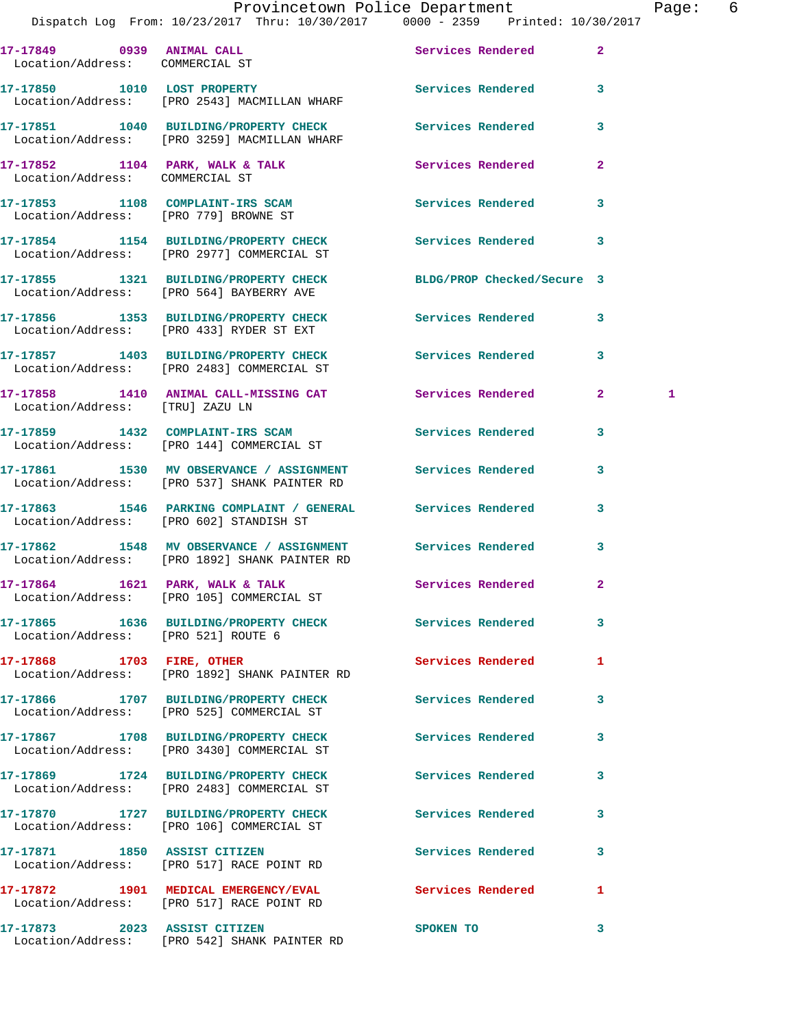## Provincetown Police Department The Page: 6

| 17-17849 0939 ANIMAL CALL<br>Location/Address: COMMERCIAL ST              |                                                                                                             | Services Rendered          | $\mathbf{2}$   |   |
|---------------------------------------------------------------------------|-------------------------------------------------------------------------------------------------------------|----------------------------|----------------|---|
| 17-17850 1010 LOST PROPERTY                                               | Location/Address: [PRO 2543] MACMILLAN WHARF                                                                | Services Rendered          | 3              |   |
|                                                                           | 17-17851 1040 BUILDING/PROPERTY CHECK<br>Location/Address: [PRO 3259] MACMILLAN WHARF                       | <b>Services Rendered</b>   | 3              |   |
| 17-17852 1104 PARK, WALK & TALK<br>Location/Address: COMMERCIAL ST        |                                                                                                             | Services Rendered          | $\overline{2}$ |   |
| 17-17853 1108 COMPLAINT-IRS SCAM<br>Location/Address: [PRO 779] BROWNE ST |                                                                                                             | <b>Services Rendered</b>   | 3              |   |
|                                                                           | 17-17854 1154 BUILDING/PROPERTY CHECK<br>Location/Address: [PRO 2977] COMMERCIAL ST                         | Services Rendered          | 3              |   |
|                                                                           | 17-17855 1321 BUILDING/PROPERTY CHECK<br>Location/Address: [PRO 564] BAYBERRY AVE                           | BLDG/PROP Checked/Secure 3 |                |   |
|                                                                           | 17-17856 1353 BUILDING/PROPERTY CHECK Services Rendered<br>Location/Address: [PRO 433] RYDER ST EXT         |                            | 3              |   |
|                                                                           | 17-17857 1403 BUILDING/PROPERTY CHECK<br>Location/Address: [PRO 2483] COMMERCIAL ST                         | Services Rendered          | 3              |   |
| Location/Address: [TRU] ZAZU LN                                           | 17-17858 1410 ANIMAL CALL-MISSING CAT Services Rendered                                                     |                            | $\mathbf{2}^-$ | 1 |
|                                                                           | 17-17859 1432 COMPLAINT-IRS SCAM<br>Location/Address: [PRO 144] COMMERCIAL ST                               | Services Rendered          | 3              |   |
|                                                                           | 17-17861 1530 MV OBSERVANCE / ASSIGNMENT<br>Location/Address: [PRO 537] SHANK PAINTER RD                    | Services Rendered          | 3              |   |
|                                                                           | 17-17863 1546 PARKING COMPLAINT / GENERAL Services Rendered<br>Location/Address: [PRO 602] STANDISH ST      |                            | 3              |   |
|                                                                           | 17-17862 1548 MV OBSERVANCE / ASSIGNMENT Services Rendered<br>Location/Address: [PRO 1892] SHANK PAINTER RD |                            | 3              |   |
|                                                                           | 17-17864 1621 PARK, WALK & TALK<br>Location/Address: [PRO 105] COMMERCIAL ST                                | Services Rendered          | $\mathbf{2}$   |   |
| Location/Address: [PRO 521] ROUTE 6                                       | 17-17865 1636 BUILDING/PROPERTY CHECK Services Rendered                                                     |                            | 3              |   |
| 17-17868 1703 FIRE, OTHER                                                 | Location/Address: [PRO 1892] SHANK PAINTER RD                                                               | <b>Services Rendered</b>   | 1              |   |
|                                                                           | 17-17866 1707 BUILDING/PROPERTY CHECK<br>Location/Address: [PRO 525] COMMERCIAL ST                          | <b>Services Rendered</b>   | 3              |   |
|                                                                           | 17-17867 1708 BUILDING/PROPERTY CHECK<br>Location/Address: [PRO 3430] COMMERCIAL ST                         | Services Rendered          | 3              |   |
|                                                                           | 17-17869 1724 BUILDING/PROPERTY CHECK<br>Location/Address: [PRO 2483] COMMERCIAL ST                         | Services Rendered          | 3              |   |
|                                                                           | 17-17870 1727 BUILDING/PROPERTY CHECK<br>Location/Address: [PRO 106] COMMERCIAL ST                          | Services Rendered          | 3              |   |
|                                                                           | 17-17871 1850 ASSIST CITIZEN<br>Location/Address: [PRO 517] RACE POINT RD                                   | Services Rendered          | 3              |   |
|                                                                           | 17-17872 1901 MEDICAL EMERGENCY/EVAL<br>Location/Address: [PRO 517] RACE POINT RD                           | <b>Services Rendered</b>   | 1              |   |
| 17-17873 2023 ASSIST CITIZEN                                              | Location/Address: [PRO 542] SHANK PAINTER RD                                                                | SPOKEN TO                  | 3              |   |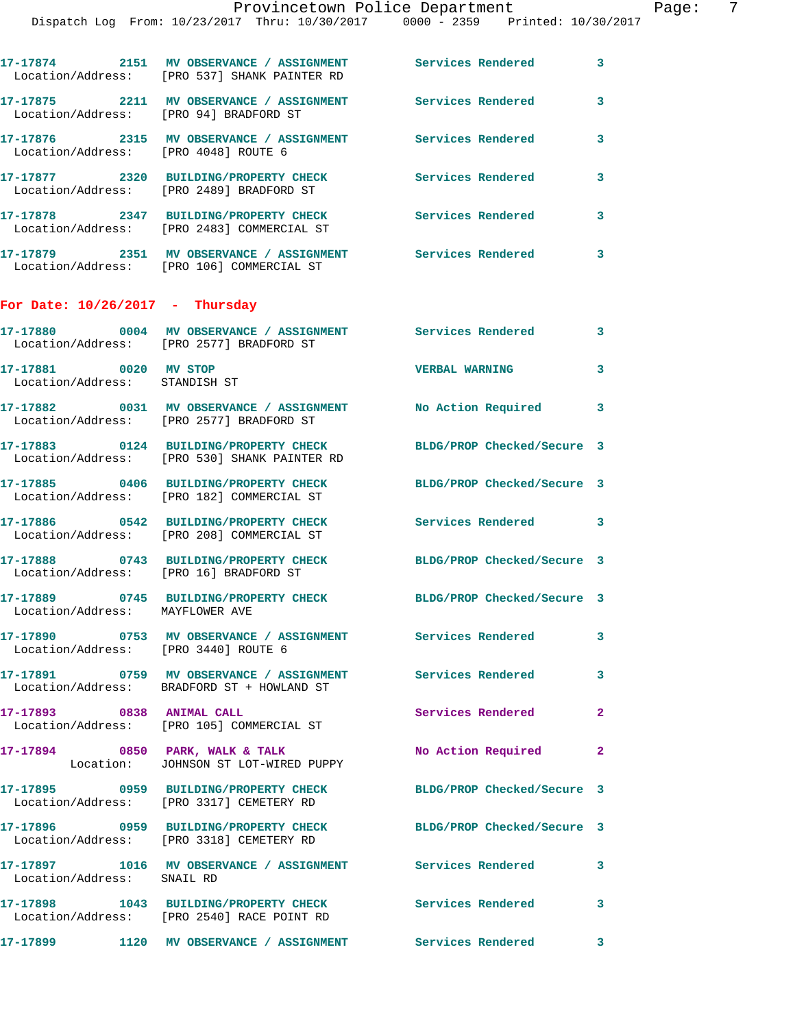|                                                        | 17-17874 2151 MV OBSERVANCE / ASSIGNMENT Services Rendered<br>Location/Address: [PRO 537] SHANK PAINTER RD |                                      | $\mathbf{3}$               |
|--------------------------------------------------------|------------------------------------------------------------------------------------------------------------|--------------------------------------|----------------------------|
| Location/Address: [PRO 94] BRADFORD ST                 | 17-17875 2211 MV OBSERVANCE / ASSIGNMENT Services Rendered                                                 |                                      | 3                          |
| Location/Address: [PRO 4048] ROUTE 6                   | 17-17876 2315 MV OBSERVANCE / ASSIGNMENT Services Rendered                                                 |                                      | 3                          |
|                                                        | 17-17877 2320 BUILDING/PROPERTY CHECK<br>Location/Address: [PRO 2489] BRADFORD ST                          | Services Rendered                    | 3                          |
|                                                        | 17-17878 2347 BUILDING/PROPERTY CHECK<br>Location/Address: [PRO 2483] COMMERCIAL ST                        | <b>Services Rendered</b>             | 3                          |
|                                                        | 17-17879 2351 MV OBSERVANCE / ASSIGNMENT Services Rendered<br>Location/Address: [PRO 106] COMMERCIAL ST    |                                      | 3                          |
| For Date: $10/26/2017$ - Thursday                      |                                                                                                            |                                      |                            |
|                                                        | 17-17880 0004 MV OBSERVANCE / ASSIGNMENT Services Rendered 3<br>Location/Address: [PRO 2577] BRADFORD ST   |                                      |                            |
| 17-17881 0020 MV STOP<br>Location/Address: STANDISH ST |                                                                                                            | <b>VERBAL WARNING</b>                | 3                          |
|                                                        | 17-17882 0031 MV OBSERVANCE / ASSIGNMENT<br>Location/Address: [PRO 2577] BRADFORD ST                       | No Action Required 3                 |                            |
|                                                        | 17-17883 0124 BUILDING/PROPERTY CHECK<br>Location/Address: [PRO 530] SHANK PAINTER RD                      | BLDG/PROP Checked/Secure 3           |                            |
|                                                        | 17-17885 0406 BUILDING/PROPERTY CHECK<br>Location/Address: [PRO 182] COMMERCIAL ST                         | BLDG/PROP Checked/Secure 3           |                            |
|                                                        | 17-17886 0542 BUILDING/PROPERTY CHECK<br>Location/Address: [PRO 208] COMMERCIAL ST                         | <b>Services Rendered</b>             | $\overline{\phantom{a}}$ 3 |
| Location/Address: [PRO 16] BRADFORD ST                 | 17-17888 0743 BUILDING/PROPERTY CHECK                                                                      | BLDG/PROP Checked/Secure 3           |                            |
| Location/Address: MAYFLOWER AVE                        | 17-17889 0745 BUILDING/PROPERTY CHECK BLDG/PROP Checked/Secure 3                                           |                                      |                            |
| Location/Address: [PRO 3440] ROUTE 6                   | 17-17890 0753 MV OBSERVANCE / ASSIGNMENT Services Rendered                                                 |                                      | 3                          |
|                                                        | 17-17891 0759 MV OBSERVANCE / ASSIGNMENT<br>Location/Address: BRADFORD ST + HOWLAND ST                     | <b>Services Rendered</b>             | 3                          |
| 17-17893 0838 ANIMAL CALL                              | Location/Address: [PRO 105] COMMERCIAL ST                                                                  | Services Rendered                    | $\mathbf{2}$               |
|                                                        | 17-17894 0850 PARK, WALK & TALK<br>Location: JOHNSON ST LOT-WIRED PUPPY                                    | No Action Required                   | $\mathbf{2}$               |
|                                                        | 17-17895 0959 BUILDING/PROPERTY CHECK<br>Location/Address: [PRO 3317] CEMETERY RD                          | BLDG/PROP Checked/Secure 3           |                            |
|                                                        | 17-17896 0959 BUILDING/PROPERTY CHECK<br>Location/Address: [PRO 3318] CEMETERY RD                          | BLDG/PROP Checked/Secure 3           |                            |
| Location/Address: SNAIL RD                             | 17-17897 1016 MV OBSERVANCE / ASSIGNMENT Services Rendered                                                 |                                      | $\mathbf{3}$               |
|                                                        | 17-17898 1043 BUILDING/PROPERTY CHECK<br>Location/Address: [PRO 2540] RACE POINT RD                        | <b>Services Rendered</b>             | $\mathbf{3}$               |
|                                                        | 17-17899 1120 MV OBSERVANCE / ASSIGNMENT                                                                   | <b>Services Rendered</b><br>$\sim$ 3 |                            |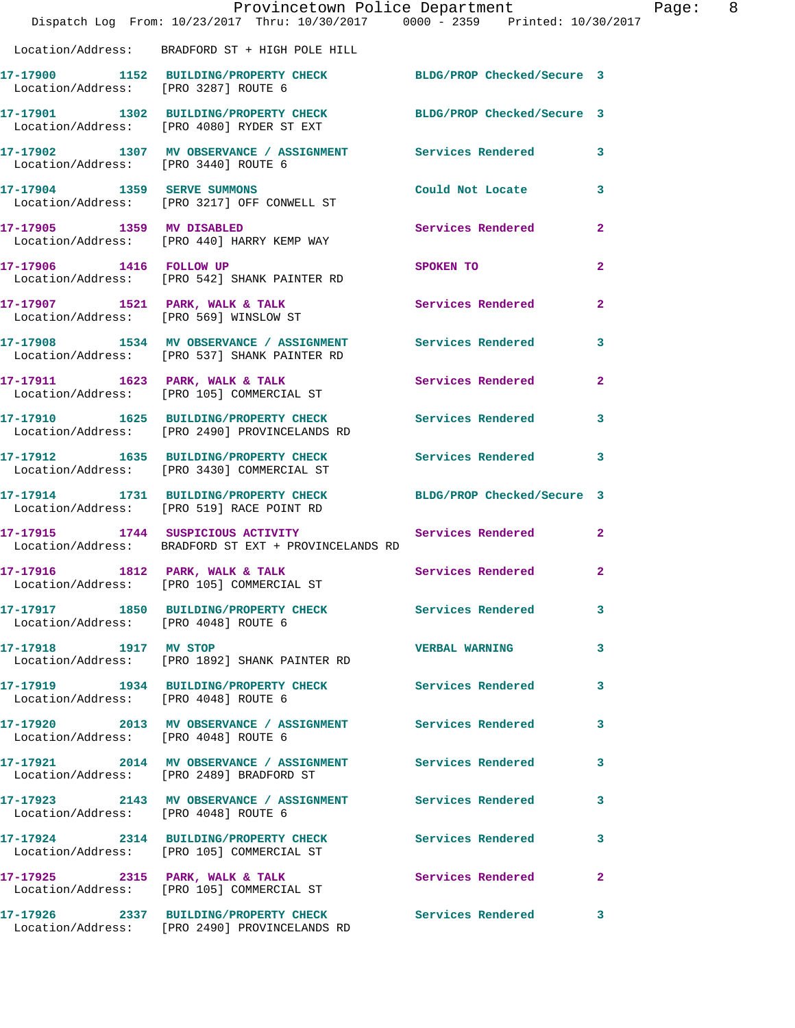|                                      | Dispatch Log From: 10/23/2017 Thru: 10/30/2017 0000 - 2359 Printed: 10/30/2017                                | Provincetown Police Department |              | Page: 8 |  |
|--------------------------------------|---------------------------------------------------------------------------------------------------------------|--------------------------------|--------------|---------|--|
|                                      | Location/Address: BRADFORD ST + HIGH POLE HILL                                                                |                                |              |         |  |
| Location/Address: [PRO 3287] ROUTE 6 | 17-17900 1152 BUILDING/PROPERTY CHECK BLDG/PROP Checked/Secure 3                                              |                                |              |         |  |
|                                      | 17-17901 1302 BUILDING/PROPERTY CHECK BLDG/PROP Checked/Secure 3<br>Location/Address: [PRO 4080] RYDER ST EXT |                                |              |         |  |
| Location/Address: [PRO 3440] ROUTE 6 | 17-17902 1307 MV OBSERVANCE / ASSIGNMENT Services Rendered 3                                                  |                                |              |         |  |
|                                      | 17-17904 1359 SERVE SUMMONS<br>Location/Address: [PRO 3217] OFF CONWELL ST                                    | Could Not Locate               | 3            |         |  |
| 17-17905 1359 MV DISABLED            | Location/Address: [PRO 440] HARRY KEMP WAY                                                                    | Services Rendered              | $\mathbf{2}$ |         |  |
|                                      | 17-17906 1416 FOLLOW UP<br>Location/Address: [PRO 542] SHANK PAINTER RD                                       | SPOKEN TO                      | $\mathbf{2}$ |         |  |
|                                      | 17-17907 1521 PARK, WALK & TALK<br>Location/Address: [PRO 569] WINSLOW ST                                     | Services Rendered              | $\mathbf{2}$ |         |  |
|                                      | 17-17908 1534 MV OBSERVANCE / ASSIGNMENT Services Rendered<br>Location/Address: [PRO 537] SHANK PAINTER RD    |                                | 3            |         |  |
|                                      | 17-17911 1623 PARK, WALK & TALK<br>Location/Address: [PRO 105] COMMERCIAL ST                                  | Services Rendered              | $\mathbf{2}$ |         |  |
|                                      | 17-17910 1625 BUILDING/PROPERTY CHECK Services Rendered 3<br>Location/Address: [PRO 2490] PROVINCELANDS RD    |                                |              |         |  |
|                                      | 17-17912 1635 BUILDING/PROPERTY CHECK<br>Location/Address: [PRO 3430] COMMERCIAL ST                           | Services Rendered              | 3            |         |  |
|                                      | 17-17914 1731 BUILDING/PROPERTY CHECK BLDG/PROP Checked/Secure 3<br>Location/Address: [PRO 519] RACE POINT RD |                                |              |         |  |
|                                      | 17-17915 1744 SUSPICIOUS ACTIVITY<br>Location/Address: BRADFORD ST EXT + PROVINCELANDS RD                     | Services Rendered              | $\mathbf{2}$ |         |  |
|                                      | 17-17916 1812 PARK, WALK & TALK<br>Location/Address: [PRO 105] COMMERCIAL ST                                  | Services Rendered 2            |              |         |  |
| Location/Address: [PRO 4048] ROUTE 6 | 17-17917 1850 BUILDING/PROPERTY CHECK Services Rendered                                                       |                                | 3            |         |  |
|                                      | 17-17918 1917 MV STOP<br>Location/Address: [PRO 1892] SHANK PAINTER RD                                        | <b>VERBAL WARNING</b>          | 3            |         |  |
| Location/Address: [PRO 4048] ROUTE 6 | 17-17919 1934 BUILDING/PROPERTY CHECK                                                                         | <b>Services Rendered</b>       | 3            |         |  |
| Location/Address: [PRO 4048] ROUTE 6 | 17-17920 2013 MV OBSERVANCE / ASSIGNMENT Services Rendered                                                    |                                | 3            |         |  |
|                                      | 17-17921 2014 MV OBSERVANCE / ASSIGNMENT Services Rendered<br>Location/Address: [PRO 2489] BRADFORD ST        |                                | 3            |         |  |
| Location/Address: [PRO 4048] ROUTE 6 | 17-17923 2143 MV OBSERVANCE / ASSIGNMENT Services Rendered                                                    |                                | $\mathbf{3}$ |         |  |
|                                      | 17-17924 2314 BUILDING/PROPERTY CHECK<br>Location/Address: [PRO 105] COMMERCIAL ST                            | <b>Services Rendered</b>       | 3            |         |  |
|                                      | 17-17925 2315 PARK, WALK & TALK<br>Location/Address: [PRO 105] COMMERCIAL ST                                  | Services Rendered              | $\mathbf{2}$ |         |  |
|                                      | 17-17926 2337 BUILDING/PROPERTY CHECK<br>Location/Address: [PRO 2490] PROVINCELANDS RD                        | Services Rendered              | 3            |         |  |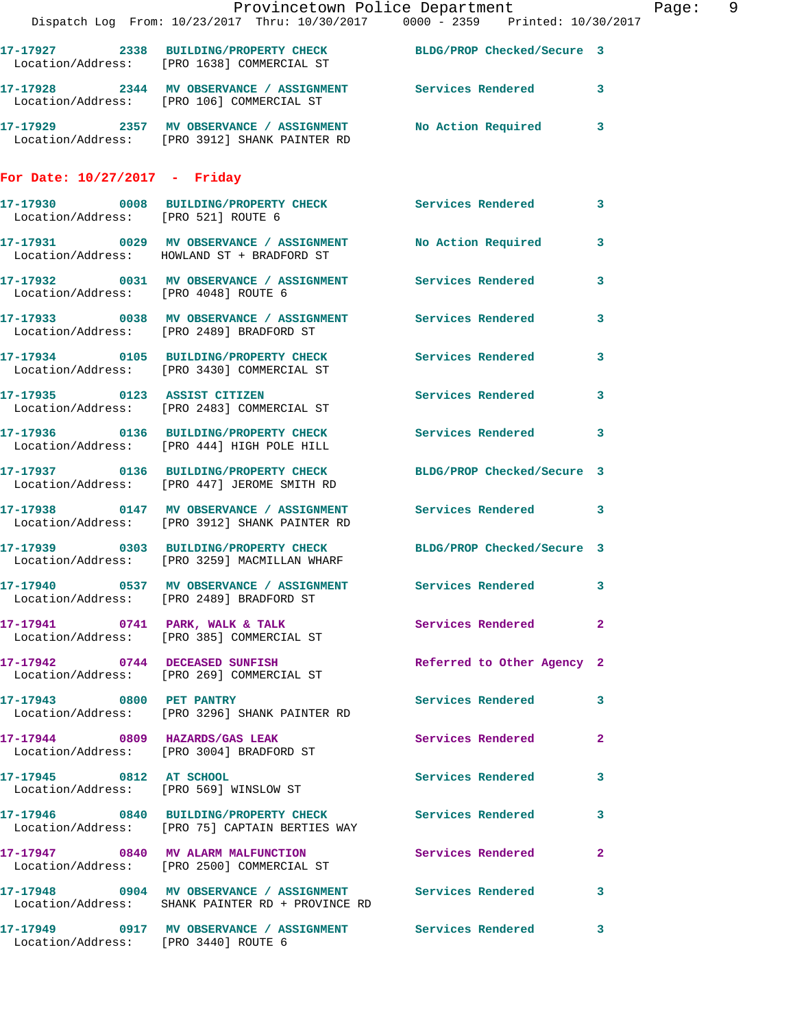|                                 | Provincetown Police Department<br>Dispatch Log From: 10/23/2017 Thru: 10/30/2017 0000 - 2359 Printed: 10/30/2017 |                            |              | Page: 9 |  |
|---------------------------------|------------------------------------------------------------------------------------------------------------------|----------------------------|--------------|---------|--|
|                                 | 17-17927 2338 BUILDING/PROPERTY CHECK BLDG/PROP Checked/Secure 3<br>Location/Address: [PRO 1638] COMMERCIAL ST   |                            |              |         |  |
|                                 | 17-17928 2344 MV OBSERVANCE / ASSIGNMENT Services Rendered 3<br>Location/Address: [PRO 106] COMMERCIAL ST        |                            |              |         |  |
|                                 | 17-17929 2357 MV OBSERVANCE / ASSIGNMENT No Action Required 3<br>Location/Address: [PRO 3912] SHANK PAINTER RD   |                            |              |         |  |
| For Date: $10/27/2017$ - Friday |                                                                                                                  |                            |              |         |  |
|                                 | 17-17930 0008 BUILDING/PROPERTY CHECK Services Rendered 3<br>Location/Address: [PRO 521] ROUTE 6                 |                            |              |         |  |
|                                 | 17-17931 0029 MV OBSERVANCE / ASSIGNMENT No Action Required 3<br>Location/Address: HOWLAND ST + BRADFORD ST      |                            |              |         |  |
|                                 | 17-17932 0031 MV OBSERVANCE / ASSIGNMENT Services Rendered 3<br>Location/Address: [PRO 4048] ROUTE 6             |                            |              |         |  |
|                                 | 17-17933 0038 MV OBSERVANCE / ASSIGNMENT Services Rendered 3<br>Location/Address: [PRO 2489] BRADFORD ST         |                            |              |         |  |
|                                 | 17-17934 0105 BUILDING/PROPERTY CHECK Services Rendered 3<br>Location/Address: [PRO 3430] COMMERCIAL ST          |                            |              |         |  |
|                                 | 17-17935 0123 ASSIST CITIZEN<br>Location/Address: [PRO 2483] COMMERCIAL ST                                       | Services Rendered 3        |              |         |  |
|                                 | 17-17936 0136 BUILDING/PROPERTY CHECK Services Rendered 3<br>Location/Address: [PRO 444] HIGH POLE HILL          |                            |              |         |  |
|                                 | 17-17937 0136 BUILDING/PROPERTY CHECK BLDG/PROP Checked/Secure 3<br>Location/Address: [PRO 447] JEROME SMITH RD  |                            |              |         |  |
|                                 | 17-17938 0147 MV OBSERVANCE / ASSIGNMENT Services Rendered 3<br>Location/Address: [PRO 3912] SHANK PAINTER RD    |                            |              |         |  |
|                                 | 17-17939 0303 BUILDING/PROPERTY CHECK BLDG/PROP Checked/Secure 3<br>Location/Address: [PRO 3259] MACMILLAN WHARF |                            |              |         |  |
|                                 | 17-17940 0537 MV OBSERVANCE / ASSIGNMENT Services Rendered 3<br>Location/Address: [PRO 2489] BRADFORD ST         |                            |              |         |  |
|                                 | 17-17941 0741 PARK, WALK & TALK Services Rendered 2<br>Location/Address: [PRO 385] COMMERCIAL ST                 |                            |              |         |  |
|                                 | 17-17942 0744 DECEASED SUNFISH<br>Location/Address: [PRO 269] COMMERCIAL ST                                      | Referred to Other Agency 2 |              |         |  |
|                                 | 17-17943 0800 PET PANTRY<br>Location/Address: [PRO 3296] SHANK PAINTER RD                                        | Services Rendered 3        |              |         |  |
|                                 | 17-17944 0809 HAZARDS/GAS LEAK<br>Location/Address: [PRO 3004] BRADFORD ST                                       | Services Rendered 2        |              |         |  |
|                                 | 17-17945 0812 AT SCHOOL<br>Location/Address: [PRO 569] WINSLOW ST                                                | Services Rendered 3        |              |         |  |
|                                 | 17-17946 0840 BUILDING/PROPERTY CHECK Services Rendered 3<br>Location/Address: [PRO 75] CAPTAIN BERTIES WAY      |                            |              |         |  |
|                                 | 17-17947 0840 MV ALARM MALFUNCTION<br>Location/Address: [PRO 2500] COMMERCIAL ST                                 | Services Rendered          | $\mathbf{2}$ |         |  |
|                                 | 17-17948 0904 MV OBSERVANCE / ASSIGNMENT Services Rendered 3<br>Location/Address: SHANK PAINTER RD + PROVINCE RD |                            |              |         |  |
|                                 | 17-17949 0917 MV OBSERVANCE / ASSIGNMENT Services Rendered 3<br>Location/Address: [PRO 3440] ROUTE 6             |                            |              |         |  |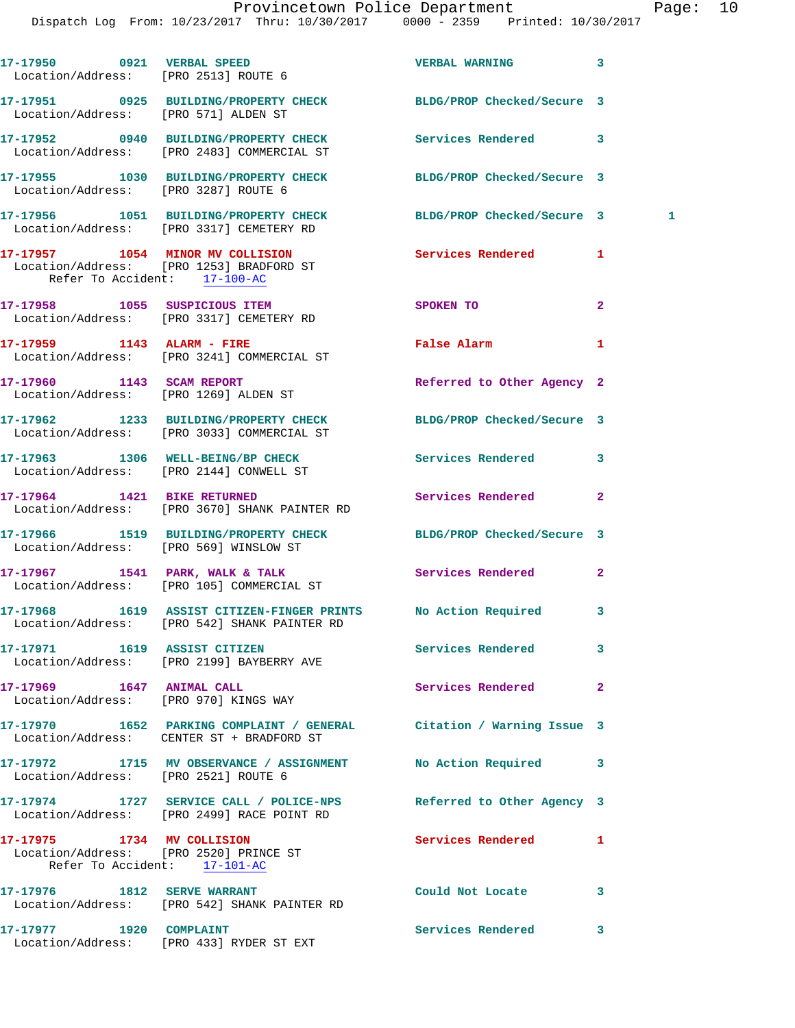Dispatch Log From: 10/23/2017 Thru: 10/30/2017 0000 - 2359 Printed: 10/30/2017

|  | 17-17950 0921 VERBAL SPEED<br>Location/Address: [PRO 2513] ROUTE 6                                                | <b>VERBAL WARNING</b>                                                                                          | 3              |  |
|--|-------------------------------------------------------------------------------------------------------------------|----------------------------------------------------------------------------------------------------------------|----------------|--|
|  | 17-17951 0925 BUILDING/PROPERTY CHECK BLDG/PROP Checked/Secure 3<br>Location/Address: [PRO 571] ALDEN ST          |                                                                                                                |                |  |
|  | 17-17952 0940 BUILDING/PROPERTY CHECK<br>Location/Address: [PRO 2483] COMMERCIAL ST                               | <b>Services Rendered</b>                                                                                       | 3              |  |
|  | 17-17955 1030 BUILDING/PROPERTY CHECK<br>Location/Address: [PRO 3287] ROUTE 6                                     | BLDG/PROP Checked/Secure 3                                                                                     |                |  |
|  | 17-17956 1051 BUILDING/PROPERTY CHECK<br>Location/Address: [PRO 3317] CEMETERY RD                                 | BLDG/PROP Checked/Secure 3                                                                                     | 1              |  |
|  | 17-17957 1054 MINOR MV COLLISION<br>Location/Address: [PRO 1253] BRADFORD ST<br>Refer To Accident: 17-100-AC      | <b>Services Rendered</b>                                                                                       | 1              |  |
|  | 17-17958 1055 SUSPICIOUS ITEM<br>Location/Address: [PRO 3317] CEMETERY RD                                         | SPOKEN TO                                                                                                      | $\overline{a}$ |  |
|  | 17-17959 1143 ALARM - FIRE<br>Location/Address: [PRO 3241] COMMERCIAL ST                                          | False Alarm and the state of the state of the state of the state of the state of the state of the state of the | 1              |  |
|  | 17-17960 1143 SCAM REPORT<br>Location/Address: [PRO 1269] ALDEN ST                                                | Referred to Other Agency 2                                                                                     |                |  |
|  | 17-17962 1233 BUILDING/PROPERTY CHECK<br>Location/Address: [PRO 3033] COMMERCIAL ST                               | BLDG/PROP Checked/Secure 3                                                                                     |                |  |
|  | 17-17963 1306 WELL-BEING/BP CHECK<br>Location/Address: [PRO 2144] CONWELL ST                                      | Services Rendered                                                                                              | 3              |  |
|  | 17-17964 1421 BIKE RETURNED<br>Location/Address: [PRO 3670] SHANK PAINTER RD                                      | Services Rendered                                                                                              | $\overline{a}$ |  |
|  | 17-17966 1519 BUILDING/PROPERTY CHECK BLDG/PROP Checked/Secure 3<br>Location/Address: [PRO 569] WINSLOW ST        |                                                                                                                |                |  |
|  | 17-17967 1541 PARK, WALK & TALK<br>Location/Address: [PRO 105] COMMERCIAL ST                                      | <b>Services Rendered</b>                                                                                       | $\mathbf{2}$   |  |
|  | 17-17968 1619 ASSIST CITIZEN-FINGER PRINTS No Action Required 3<br>Location/Address: [PRO 542] SHANK PAINTER RD   |                                                                                                                |                |  |
|  | 17-17971 1619 ASSIST CITIZEN<br>Location/Address: [PRO 2199] BAYBERRY AVE                                         | <b>Services Rendered</b>                                                                                       | 3              |  |
|  | 17-17969 1647 ANIMAL CALL<br>Location/Address: [PRO 970] KINGS WAY                                                | Services Rendered                                                                                              | $\overline{a}$ |  |
|  | 17-17970 1652 PARKING COMPLAINT / GENERAL Citation / Warning Issue 3<br>Location/Address: CENTER ST + BRADFORD ST |                                                                                                                |                |  |
|  | 17-17972 1715 MV OBSERVANCE / ASSIGNMENT<br>Location/Address: [PRO 2521] ROUTE 6                                  | No Action Required                                                                                             | 3              |  |
|  | 17-17974 1727 SERVICE CALL / POLICE-NPS<br>Location/Address: [PRO 2499] RACE POINT RD                             | Referred to Other Agency 3                                                                                     |                |  |
|  | 17-17975 1734 MV COLLISION<br>Location/Address: [PRO 2520] PRINCE ST<br>Refer To Accident: 17-101-AC              | Services Rendered                                                                                              | ı              |  |
|  | 17-17976 1812 SERVE WARRANT<br>Location/Address: [PRO 542] SHANK PAINTER RD                                       | Could Not Locate                                                                                               | 3              |  |
|  | 17-17977 1920 COMPLAINT<br>Location/Address: [PRO 433] RYDER ST EXT                                               | Services Rendered                                                                                              | 3              |  |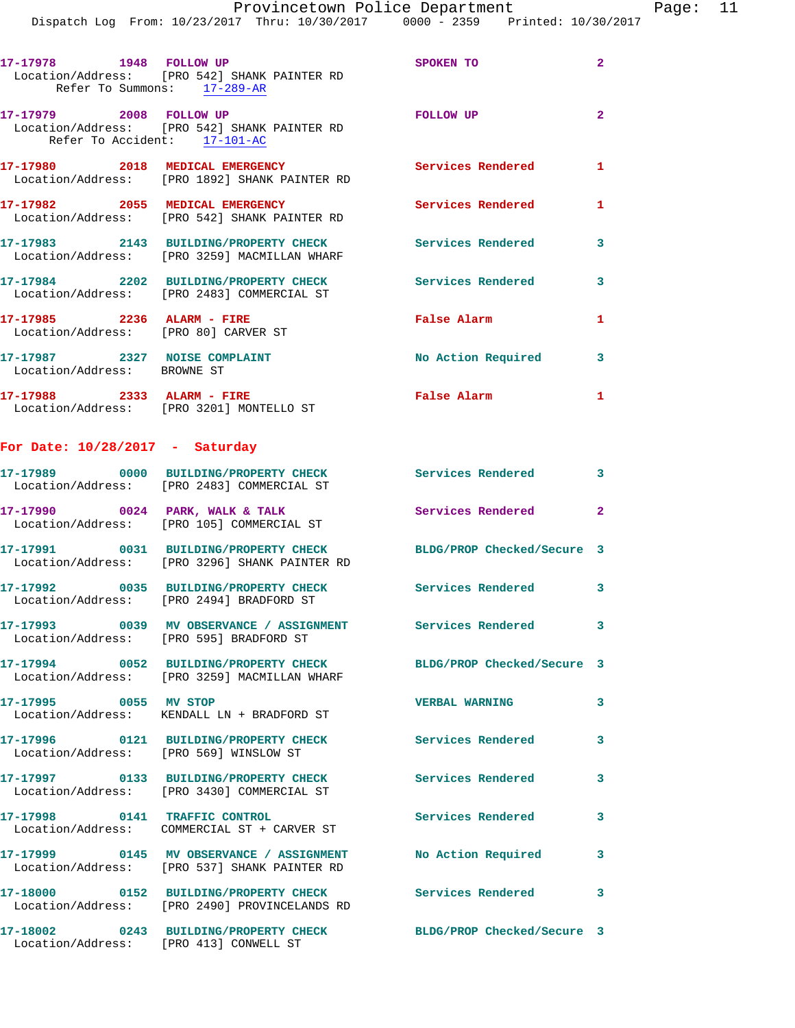|                                                                                                         | Dispatch Log From: 10/23/2017 Thru: 10/30/2017 0000 - 2359 Printed: 10/30/2017 |                            |                |
|---------------------------------------------------------------------------------------------------------|--------------------------------------------------------------------------------|----------------------------|----------------|
| 17-17978 1948 FOLLOW UP<br>Location/Address: [PRO 542] SHANK PAINTER RD<br>Refer To Summons: 17-289-AR  |                                                                                | SPOKEN TO                  | $\mathbf{2}$   |
| 17-17979 2008 FOLLOW UP<br>Location/Address: [PRO 542] SHANK PAINTER RD<br>Refer To Accident: 17-101-AC |                                                                                | FOLLOW UP                  | $\overline{2}$ |
| 17-17980 2018 MEDICAL EMERGENCY<br>Location/Address: [PRO 1892] SHANK PAINTER RD                        |                                                                                | Services Rendered          | 1              |
| 17-17982 2055 MEDICAL EMERGENCY<br>Location/Address: [PRO 542] SHANK PAINTER RD                         |                                                                                | Services Rendered          | 1              |
| Location/Address: [PRO 3259] MACMILLAN WHARF                                                            | 17-17983 2143 BUILDING/PROPERTY CHECK Services Rendered                        |                            | 3              |
| Location/Address: [PRO 2483] COMMERCIAL ST                                                              | 17-17984 2202 BUILDING/PROPERTY CHECK Services Rendered                        |                            | 3              |
| 17-17985 2236 ALARM - FIRE<br>Location/Address: [PRO 80] CARVER ST                                      |                                                                                | False Alarm                | 1              |
| 17-17987 2327 NOISE COMPLAINT<br>Location/Address: BROWNE ST                                            |                                                                                | No Action Required         | 3              |
| 17-17988 2333 ALARM - FIRE<br>Location/Address: [PRO 3201] MONTELLO ST                                  |                                                                                | False Alarm                | $\mathbf{1}$   |
| For Date: $10/28/2017$ - Saturday                                                                       |                                                                                |                            |                |
| 17-17989 0000 BUILDING/PROPERTY CHECK<br>Location/Address: [PRO 2483] COMMERCIAL ST                     |                                                                                | <b>Services Rendered</b>   | 3              |
| 17-17990 0024 PARK, WALK & TALK<br>Location/Address: [PRO 105] COMMERCIAL ST                            |                                                                                | Services Rendered          | $\overline{2}$ |
| 17-17991 0031 BUILDING/PROPERTY CHECK<br>Location/Address: [PRO 3296] SHANK PAINTER RD                  |                                                                                | BLDG/PROP Checked/Secure 3 |                |
| Location/Address: [PRO 2494] BRADFORD ST                                                                | 17-17992 0035 BUILDING/PROPERTY CHECK Services Rendered 3                      |                            |                |
| Location/Address: [PRO 595] BRADFORD ST                                                                 | 17-17993 0039 MV OBSERVANCE / ASSIGNMENT Services Rendered                     |                            | 3              |
| Location/Address: [PRO 3259] MACMILLAN WHARF                                                            | 17-17994 0052 BUILDING/PROPERTY CHECK                                          | BLDG/PROP Checked/Secure 3 |                |
| 17-17995 0055 MV STOP<br>Location/Address: KENDALL LN + BRADFORD ST                                     |                                                                                | <b>VERBAL WARNING</b>      | 3              |
| 17-17996 0121 BUILDING/PROPERTY CHECK<br>Location/Address: [PRO 569] WINSLOW ST                         |                                                                                | <b>Services Rendered</b>   | 3              |
| 17-17997 0133 BUILDING/PROPERTY CHECK<br>Location/Address: [PRO 3430] COMMERCIAL ST                     |                                                                                | <b>Services Rendered</b>   | 3              |
| 17-17998 0141 TRAFFIC CONTROL<br>Location/Address: COMMERCIAL ST + CARVER ST                            |                                                                                | <b>Services Rendered</b>   | 3              |
| Location/Address: [PRO 537] SHANK PAINTER RD                                                            | 17-17999 0145 MV OBSERVANCE / ASSIGNMENT                                       | No Action Required         | 3              |
|                                                                                                         | 17-18000  0152 BUILDING/PROPERTY CHECK  Services Rendered                      |                            | 3              |

**17-18002 0243 BUILDING/PROPERTY CHECK BLDG/PROP Checked/Secure 3**  Location/Address: [PRO 413] CONWELL ST

Location/Address: [PRO 2490] PROVINCELANDS RD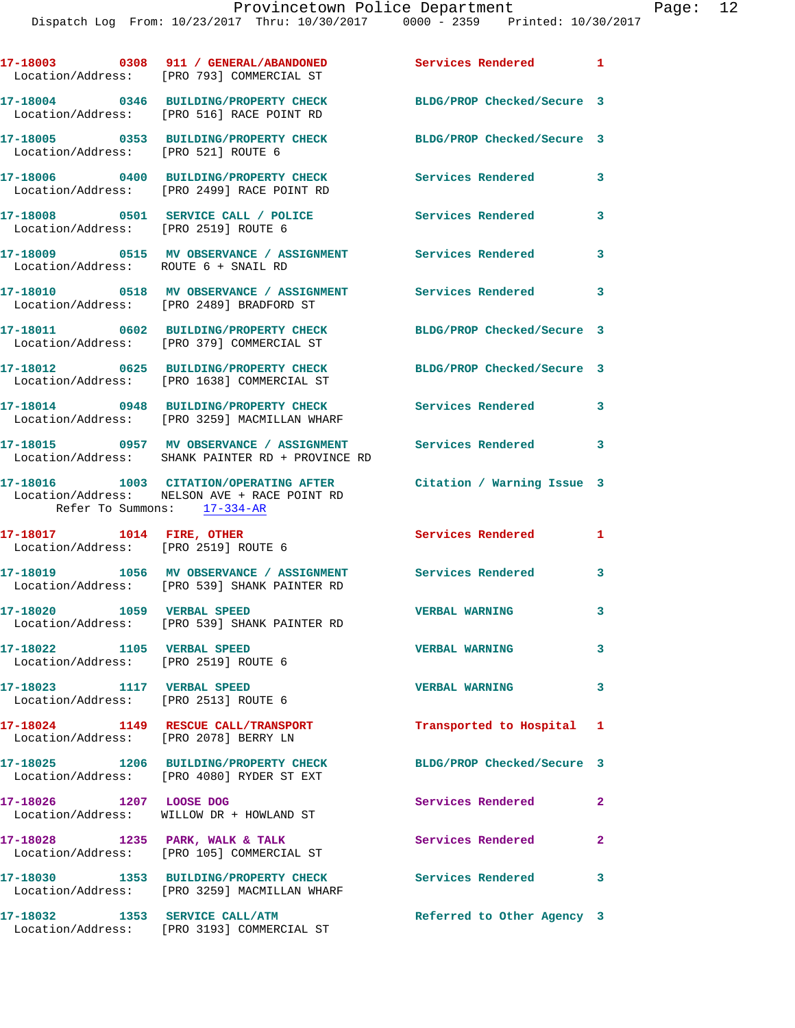|                                                                    | 17-18003 0308 911 / GENERAL/ABANDONED<br>Location/Address: [PRO 793] COMMERCIAL ST                             | Services Rendered 1                 |              |
|--------------------------------------------------------------------|----------------------------------------------------------------------------------------------------------------|-------------------------------------|--------------|
|                                                                    | 17-18004 0346 BUILDING/PROPERTY CHECK<br>Location/Address: [PRO 516] RACE POINT RD                             | BLDG/PROP Checked/Secure 3          |              |
| Location/Address: [PRO 521] ROUTE 6                                | 17-18005 0353 BUILDING/PROPERTY CHECK                                                                          | BLDG/PROP Checked/Secure 3          |              |
|                                                                    | 17-18006 0400 BUILDING/PROPERTY CHECK<br>Location/Address: [PRO 2499] RACE POINT RD                            | Services Rendered                   | 3            |
| Location/Address: [PRO 2519] ROUTE 6                               | 17-18008 0501 SERVICE CALL / POLICE                                                                            | <b>Services Rendered</b>            | 3            |
| Location/Address: ROUTE 6 + SNAIL RD                               | 17-18009                0515     MV  OBSERVANCE  /  ASSIGNMENT                  Services  Rendered             |                                     | 3            |
|                                                                    | 17-18010 0518 MV OBSERVANCE / ASSIGNMENT<br>Location/Address: [PRO 2489] BRADFORD ST                           | <b>Services Rendered</b>            | 3            |
|                                                                    | 17-18011 0602 BUILDING/PROPERTY CHECK<br>Location/Address: [PRO 379] COMMERCIAL ST                             | BLDG/PROP Checked/Secure 3          |              |
|                                                                    | 17-18012 0625 BUILDING/PROPERTY CHECK<br>Location/Address: [PRO 1638] COMMERCIAL ST                            | BLDG/PROP Checked/Secure 3          |              |
|                                                                    | 17-18014 0948 BUILDING/PROPERTY CHECK<br>Location/Address: [PRO 3259] MACMILLAN WHARF                          | Services Rendered 3                 |              |
|                                                                    | 17-18015 0957 MV OBSERVANCE / ASSIGNMENT Services Rendered<br>Location/Address: SHANK PAINTER RD + PROVINCE RD |                                     | 3            |
| Refer To Summons: 17-334-AR                                        | 17-18016  1003  CITATION/OPERATING AFTER<br>Location/Address: NELSON AVE + RACE POINT RD                       | Citation / Warning Issue 3          |              |
| Location/Address: [PRO 2519] ROUTE 6                               |                                                                                                                | Services Rendered<br>$\blacksquare$ |              |
|                                                                    | 17-18019 1056 MV OBSERVANCE / ASSIGNMENT Services Rendered<br>Location/Address: [PRO 539] SHANK PAINTER RD     |                                     | 3            |
| 17-18020 1059 VERBAL SPEED                                         | Location/Address: [PRO 539] SHANK PAINTER RD                                                                   | <b>VERBAL WARNING</b>               | 3            |
| 17-18022 1105 VERBAL SPEED<br>Location/Address: [PRO 2519] ROUTE 6 |                                                                                                                | <b>VERBAL WARNING</b>               | 3            |
| 17-18023 1117 VERBAL SPEED<br>Location/Address: [PRO 2513] ROUTE 6 |                                                                                                                | <b>VERBAL WARNING</b>               | 3            |
| Location/Address: [PRO 2078] BERRY LN                              | 17-18024 1149 RESCUE CALL/TRANSPORT                                                                            | Transported to Hospital 1           |              |
|                                                                    | 17-18025 1206 BUILDING/PROPERTY CHECK<br>Location/Address: [PRO 4080] RYDER ST EXT                             | BLDG/PROP Checked/Secure 3          |              |
| 17-18026 1207 LOOSE DOG                                            | Location/Address: WILLOW DR + HOWLAND ST                                                                       | Services Rendered                   | $\mathbf{2}$ |
|                                                                    | 17-18028 1235 PARK, WALK & TALK<br>Location/Address: [PRO 105] COMMERCIAL ST                                   | <b>Services Rendered</b>            | $\mathbf{2}$ |
|                                                                    | 17-18030 1353 BUILDING/PROPERTY CHECK<br>Location/Address: [PRO 3259] MACMILLAN WHARF                          | Services Rendered 3                 |              |
|                                                                    | 17-18032 1353 SERVICE CALL/ATM<br>Location/Address: [PRO 3193] COMMERCIAL ST                                   | Referred to Other Agency 3          |              |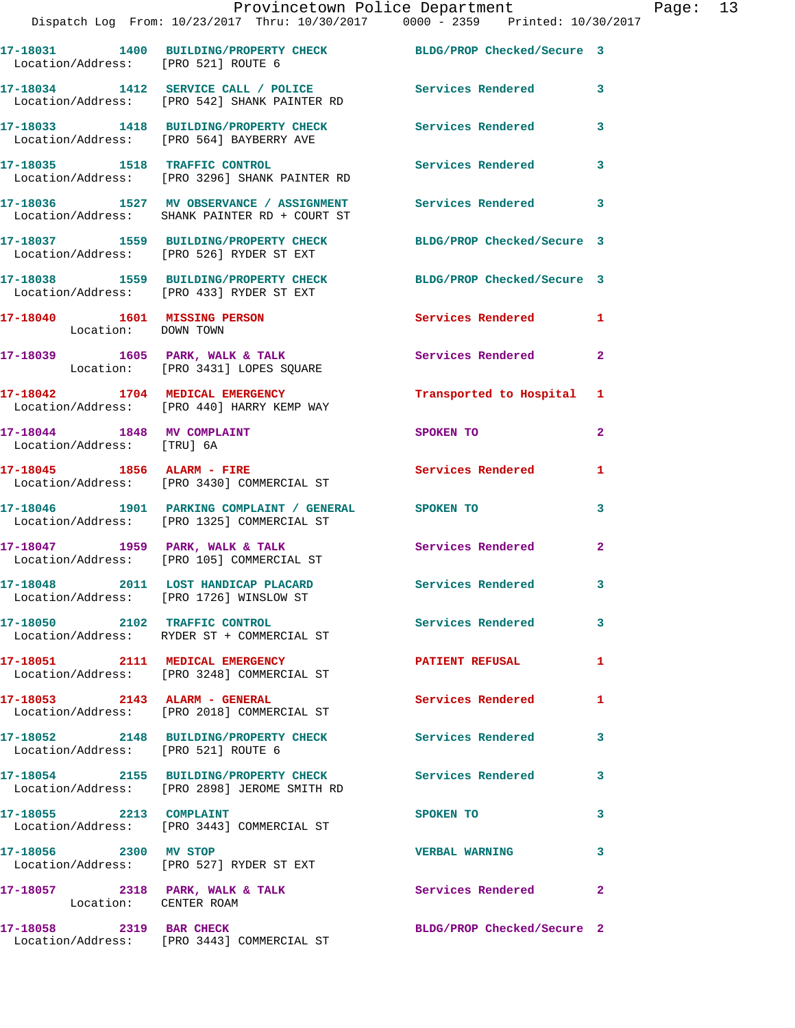|                                     | Provincetown Police Department Page: 13<br>Dispatch Log From: 10/23/2017 Thru: 10/30/2017 0000 - 2359 Printed: 10/30/2017 |                          |              |  |
|-------------------------------------|---------------------------------------------------------------------------------------------------------------------------|--------------------------|--------------|--|
|                                     | 17-18031 1400 BUILDING/PROPERTY CHECK BLDG/PROP Checked/Secure 3<br>Location/Address: [PRO 521] ROUTE 6                   |                          |              |  |
|                                     | 17-18034 1412 SERVICE CALL / POLICE Services Rendered 3<br>Location/Address: [PRO 542] SHANK PAINTER RD                   |                          |              |  |
|                                     | 17-18033 1418 BUILDING/PROPERTY CHECK Services Rendered 3<br>Location/Address: [PRO 564] BAYBERRY AVE                     |                          |              |  |
|                                     | 17-18035 1518 TRAFFIC CONTROL Services Rendered 3<br>Location/Address: [PRO 3296] SHANK PAINTER RD                        |                          |              |  |
|                                     | 17-18036 1527 MV OBSERVANCE / ASSIGNMENT Services Rendered<br>Location/Address: SHANK PAINTER RD + COURT ST               |                          | $\mathbf{3}$ |  |
|                                     | 17-18037 1559 BUILDING/PROPERTY CHECK BLDG/PROP Checked/Secure 3<br>Location/Address: [PRO 526] RYDER ST EXT              |                          |              |  |
|                                     | 17-18038 1559 BUILDING/PROPERTY CHECK BLDG/PROP Checked/Secure 3<br>Location/Address: [PRO 433] RYDER ST EXT              |                          |              |  |
| Location: DOWN TOWN                 | 17-18040 1601 MISSING PERSON Services Rendered 1                                                                          |                          |              |  |
|                                     | 17-18039 1605 PARK, WALK & TALK Services Rendered<br>Location: [PRO 3431] LOPES SQUARE                                    |                          | $\mathbf{2}$ |  |
|                                     | 17-18042 1704 MEDICAL EMERGENCY 1 Transported to Hospital 1<br>Location/Address: [PRO 440] HARRY KEMP WAY                 |                          |              |  |
| Location/Address: [TRU] 6A          | 17-18044 1848 MV COMPLAINT                                                                                                | SPOKEN TO                | $\mathbf{2}$ |  |
|                                     | 17-18045 1856 ALARM - FIRE<br>Location/Address: [PRO 3430] COMMERCIAL ST                                                  | Services Rendered        | 1            |  |
|                                     | 17-18046 1901 PARKING COMPLAINT / GENERAL SPOKEN TO<br>Location/Address: [PRO 1325] COMMERCIAL ST                         |                          | 3            |  |
|                                     | Location/Address: [PRO 105] COMMERCIAL ST                                                                                 |                          | $\mathbf{2}$ |  |
|                                     | 17-18048 2011 LOST HANDICAP PLACARD<br>Location/Address: [PRO 1726] WINSLOW ST                                            | <b>Services Rendered</b> | 3            |  |
|                                     | 17-18050 2102 TRAFFIC CONTROL<br>Location/Address: RYDER ST + COMMERCIAL ST                                               | Services Rendered        | $\mathbf{3}$ |  |
|                                     | 17-18051 2111 MEDICAL EMERGENCY<br>Location/Address: [PRO 3248] COMMERCIAL ST                                             | <b>PATIENT REFUSAL</b>   | 1            |  |
| $17-18053$ 2143 ALARM - GENERAL     | Location/Address: [PRO 2018] COMMERCIAL ST                                                                                | <b>Services Rendered</b> | 1            |  |
| Location/Address: [PRO 521] ROUTE 6 | 17-18052 2148 BUILDING/PROPERTY CHECK Services Rendered                                                                   |                          | 3            |  |
|                                     | 17-18054 2155 BUILDING/PROPERTY CHECK Services Rendered<br>Location/Address: [PRO 2898] JEROME SMITH RD                   |                          | 3            |  |
|                                     | 17-18055 2213 COMPLAINT<br>Location/Address: [PRO 3443] COMMERCIAL ST                                                     | SPOKEN TO                | 3            |  |
| 17-18056 2300 MV STOP               | Location/Address: [PRO 527] RYDER ST EXT                                                                                  | <b>VERBAL WARNING</b>    | 3            |  |
| Location: CENTER ROAM               | 17-18057 2318 PARK, WALK & TALK                                                                                           | <b>Services Rendered</b> | $\mathbf{2}$ |  |
|                                     |                                                                                                                           |                          |              |  |

**17-18058 2319 BAR CHECK BLDG/PROP Checked/Secure 2** 

Location/Address: [PRO 3443] COMMERCIAL ST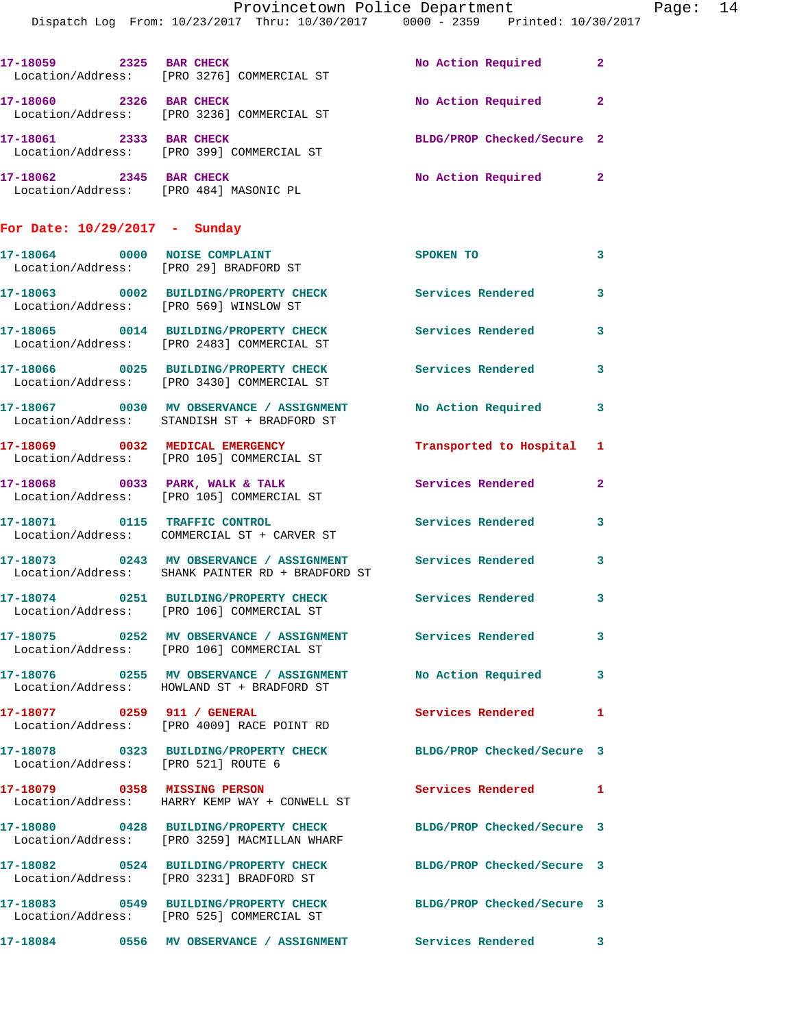|                                        | Provincetown Police Department<br>Dispatch Log From: 10/23/2017 Thru: 10/30/2017 0000 - 2359 Printed: 10/30/2017 |                            |              |
|----------------------------------------|------------------------------------------------------------------------------------------------------------------|----------------------------|--------------|
|                                        |                                                                                                                  |                            |              |
|                                        | 17-18059 2325 BAR CHECK<br>Location/Address: [PRO 3276] COMMERCIAL ST                                            | No Action Required         | $\mathbf{2}$ |
| 17-18060 2326 BAR CHECK                | Location/Address: [PRO 3236] COMMERCIAL ST                                                                       | No Action Required         | $\mathbf{2}$ |
| 17-18061 2333 BAR CHECK                | Location/Address: [PRO 399] COMMERCIAL ST                                                                        | BLDG/PROP Checked/Secure 2 |              |
| 17-18062 2345 BAR CHECK                | Location/Address: [PRO 484] MASONIC PL                                                                           | No Action Required         | $\mathbf{2}$ |
| For Date: $10/29/2017$ - Sunday        |                                                                                                                  |                            |              |
|                                        | 17-18064 0000 NOISE COMPLAINT<br>Location/Address: [PRO 29] BRADFORD ST                                          | SPOKEN TO                  | 3            |
| Location/Address: [PRO 569] WINSLOW ST | 17-18063 0002 BUILDING/PROPERTY CHECK Services Rendered                                                          |                            | 3            |
|                                        | 17-18065 0014 BUILDING/PROPERTY CHECK<br>Location/Address: [PRO 2483] COMMERCIAL ST                              | <b>Services Rendered</b>   | 3            |
|                                        | 17-18066 0025 BUILDING/PROPERTY CHECK Services Rendered<br>Location/Address: [PRO 3430] COMMERCIAL ST            |                            | 3            |
|                                        | 17-18067 0030 MV OBSERVANCE / ASSIGNMENT<br>Location/Address: STANDISH ST + BRADFORD ST                          | <b>No Action Required</b>  | 3            |
|                                        | 17-18069 0032 MEDICAL EMERGENCY<br>Location/Address: [PRO 105] COMMERCIAL ST                                     | Transported to Hospital    | 1            |
|                                        | 17-18068 0033 PARK, WALK & TALK<br>Location/Address: [PRO 105] COMMERCIAL ST                                     | Services Rendered          | $\mathbf{2}$ |
| 17-18071 0115 TRAFFIC CONTROL          | Location/Address: COMMERCIAL ST + CARVER ST                                                                      | <b>Services Rendered</b>   | 3            |
|                                        | 17-18073 0243 MV OBSERVANCE / ASSIGNMENT Services Rendered<br>Location/Address: SHANK PAINTER RD + BRADFORD ST   |                            | 3            |
|                                        | 17-18074 0251 BUILDING/PROPERTY CHECK<br>Location/Address: [PRO 106] COMMERCIAL ST                               | Services Rendered          | 3            |
|                                        | 17-18075 0252 MV OBSERVANCE / ASSIGNMENT Services Rendered<br>Location/Address: [PRO 106] COMMERCIAL ST          |                            | 3            |
|                                        | 17-18076 0255 MV OBSERVANCE / ASSIGNMENT<br>Location/Address: HOWLAND ST + BRADFORD ST                           | <b>No Action Required</b>  | 3            |
|                                        | 17-18077 0259 911 / GENERAL<br>Location/Address: [PRO 4009] RACE POINT RD                                        | <b>Services Rendered</b>   | 1            |
| Location/Address: [PRO 521] ROUTE 6    | 17-18078 0323 BUILDING/PROPERTY CHECK BLDG/PROP Checked/Secure 3                                                 |                            |              |
|                                        | 17-18079 0358 MISSING PERSON<br>Location/Address: HARRY KEMP WAY + CONWELL ST                                    | Services Rendered          | 1            |
|                                        | 17-18080 0428 BUILDING/PROPERTY CHECK<br>Location/Address: [PRO 3259] MACMILLAN WHARF                            | BLDG/PROP Checked/Secure 3 |              |
|                                        | 17-18082 0524 BUILDING/PROPERTY CHECK<br>Location/Address: [PRO 3231] BRADFORD ST                                | BLDG/PROP Checked/Secure 3 |              |
|                                        | 17-18083 0549 BUILDING/PROPERTY CHECK                                                                            | BLDG/PROP Checked/Secure 3 |              |

**17-18084 0556 MV OBSERVANCE / ASSIGNMENT Services Rendered 3** 

Location/Address: [PRO 525] COMMERCIAL ST

Page: 14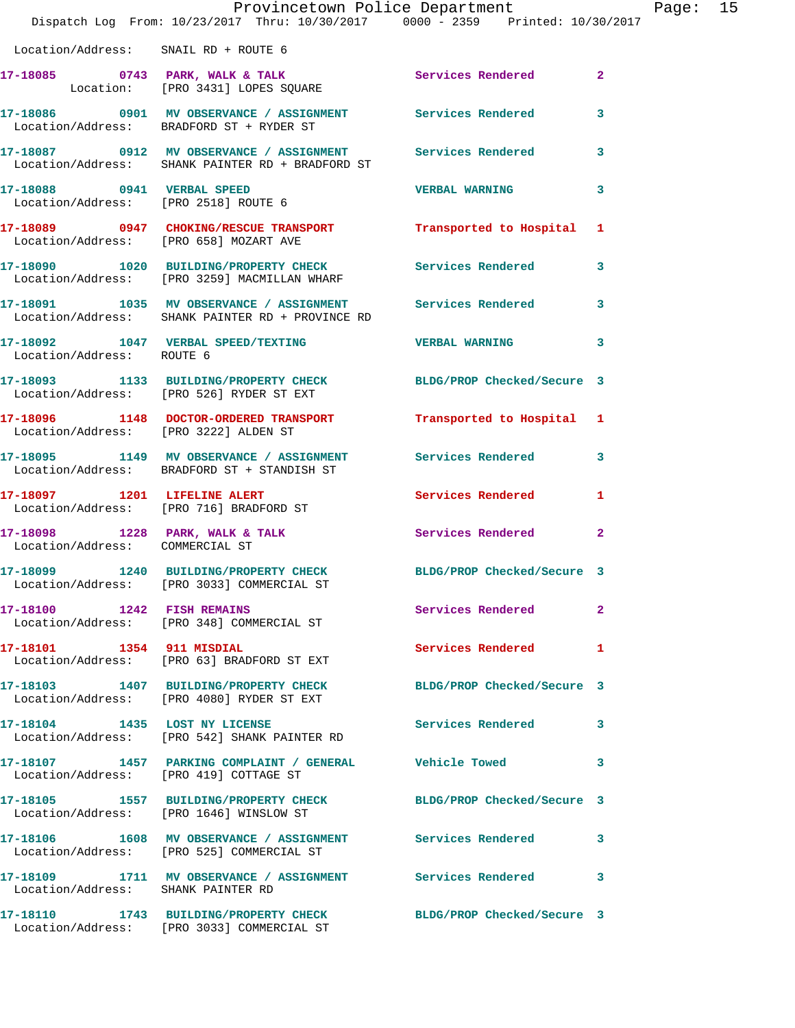|                                        | Provincetown Police Department<br>Dispatch Log From: 10/23/2017 Thru: 10/30/2017 0000 - 2359 Printed: 10/30/2017 |                            |              | Page: 15 |
|----------------------------------------|------------------------------------------------------------------------------------------------------------------|----------------------------|--------------|----------|
| Location/Address: SNAIL RD + ROUTE 6   |                                                                                                                  |                            |              |          |
|                                        | 17-18085 0743 PARK, WALK & TALK Services Rendered 2<br>Location: [PRO 3431] LOPES SQUARE                         |                            |              |          |
|                                        | 17-18086 0901 MV OBSERVANCE / ASSIGNMENT Services Rendered 3<br>Location/Address: BRADFORD ST + RYDER ST         |                            |              |          |
|                                        | 17-18087 0912 MV OBSERVANCE / ASSIGNMENT Services Rendered 3<br>Location/Address: SHANK PAINTER RD + BRADFORD ST |                            |              |          |
|                                        | 17-18088 0941 VERBAL SPEED VERBAL WARNING 3<br>Location/Address: [PRO 2518] ROUTE 6                              |                            |              |          |
|                                        | 17-18089 0947 CHOKING/RESCUE TRANSPORT Transported to Hospital 1 Location/Address: [PRO 658] MOZART AVE          |                            |              |          |
|                                        | 17-18090 1020 BUILDING/PROPERTY CHECK Services Rendered 3<br>Location/Address: [PRO 3259] MACMILLAN WHARF        |                            |              |          |
|                                        | 17-18091 1035 MV OBSERVANCE / ASSIGNMENT Services Rendered 3<br>Location/Address: SHANK PAINTER RD + PROVINCE RD |                            |              |          |
| Location/Address: ROUTE 6              | 17-18092 1047 VERBAL SPEED/TEXTING THE VERBAL WARNING 3                                                          |                            |              |          |
|                                        | 17-18093 1133 BUILDING/PROPERTY CHECK BLDG/PROP Checked/Secure 3<br>Location/Address: [PRO 526] RYDER ST EXT     |                            |              |          |
|                                        | 17-18096 1148 DOCTOR-ORDERED TRANSPORT Transported to Hospital 1<br>Location/Address: [PRO 3222] ALDEN ST        |                            |              |          |
|                                        | 17-18095 1149 MV OBSERVANCE / ASSIGNMENT Services Rendered 3<br>Location/Address: BRADFORD ST + STANDISH ST      |                            |              |          |
|                                        | 17-18097 1201 LIFELINE ALERT<br>Location/Address: [PRO 716] BRADFORD ST                                          | Services Rendered          | $\mathbf{1}$ |          |
| Location/Address: COMMERCIAL ST        | 17-18098 1228 PARK, WALK & TALK 6 Services Rendered 2                                                            |                            |              |          |
|                                        | 17-18099 1240 BUILDING/PROPERTY CHECK BLDG/PROP Checked/Secure 3<br>Location/Address: [PRO 3033] COMMERCIAL ST   |                            |              |          |
|                                        | 17-18100 1242 FISH REMAINS<br>Location/Address: [PRO 348] COMMERCIAL ST                                          | Services Rendered          | $\mathbf{2}$ |          |
| 17-18101 1354 911 MISDIAL              | Location/Address: [PRO 63] BRADFORD ST EXT                                                                       | <b>Services Rendered</b>   | 1            |          |
|                                        | 17-18103 1407 BUILDING/PROPERTY CHECK<br>Location/Address: [PRO 4080] RYDER ST EXT                               | BLDG/PROP Checked/Secure 3 |              |          |
|                                        | 17-18104 1435 LOST NY LICENSE<br>Location/Address: [PRO 542] SHANK PAINTER RD                                    | Services Rendered 3        |              |          |
| Location/Address: [PRO 419] COTTAGE ST | 17-18107 1457 PARKING COMPLAINT / GENERAL Vehicle Towed 3                                                        |                            |              |          |
|                                        | 17-18105 1557 BUILDING/PROPERTY CHECK BLDG/PROP Checked/Secure 3<br>Location/Address: [PRO 1646] WINSLOW ST      |                            |              |          |
|                                        | 17-18106 1608 MV OBSERVANCE / ASSIGNMENT Services Rendered 3<br>Location/Address: [PRO 525] COMMERCIAL ST        |                            |              |          |
| Location/Address: SHANK PAINTER RD     | 17-18109 1711 MV OBSERVANCE / ASSIGNMENT Services Rendered                                                       |                            | 3            |          |
|                                        | 17-18110 1743 BUILDING/PROPERTY CHECK BLDG/PROP Checked/Secure 3<br>Location/Address: [PRO 3033] COMMERCIAL ST   |                            |              |          |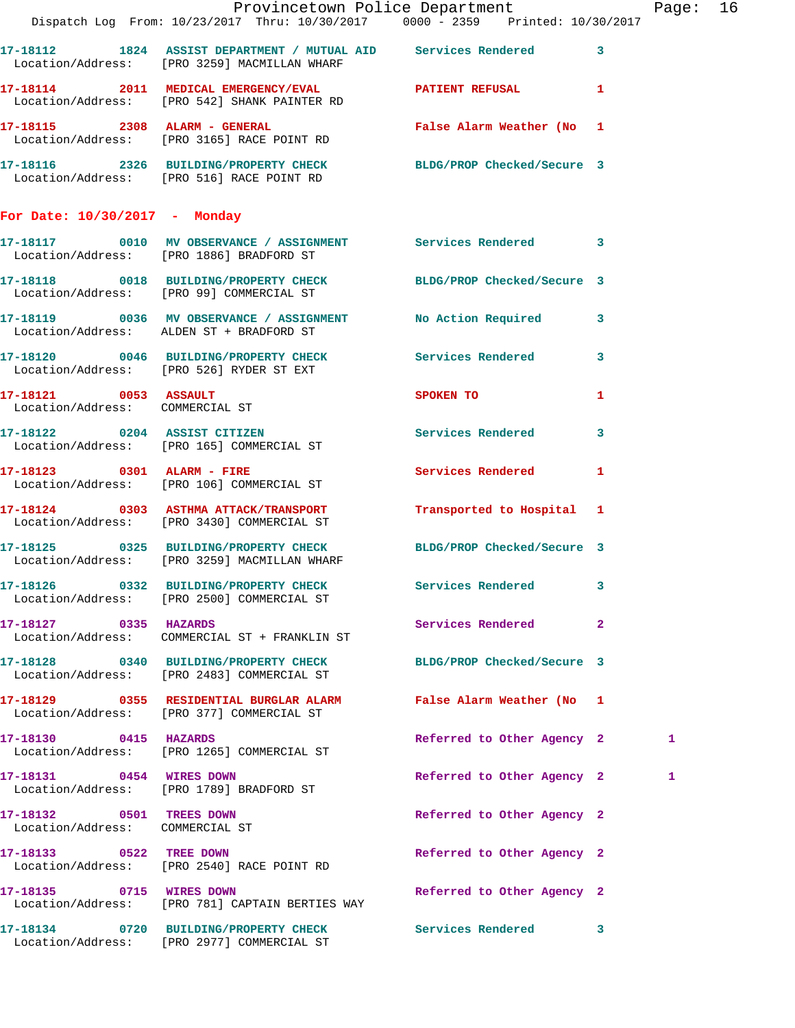|                                                             | Provincetown Police Department<br>Dispatch Log From: 10/23/2017 Thru: 10/30/2017 0000 - 2359 Printed: 10/30/2017 |                                   |              | Page: 16 |  |
|-------------------------------------------------------------|------------------------------------------------------------------------------------------------------------------|-----------------------------------|--------------|----------|--|
|                                                             |                                                                                                                  |                                   |              |          |  |
|                                                             | 17-18112 1824 ASSIST DEPARTMENT / MUTUAL AID Services Rendered 3<br>Location/Address: [PRO 3259] MACMILLAN WHARF |                                   |              |          |  |
|                                                             | 17-18114 2011 MEDICAL EMERGENCY/EVAL 2011 2011 2011 1<br>Location/Address: [PRO 542] SHANK PAINTER RD            |                                   |              |          |  |
|                                                             |                                                                                                                  | False Alarm Weather (No 1         |              |          |  |
|                                                             | 17-18116 2326 BUILDING/PROPERTY CHECK BLDG/PROP Checked/Secure 3<br>Location/Address: [PRO 516] RACE POINT RD    |                                   |              |          |  |
| For Date: $10/30/2017$ - Monday                             |                                                                                                                  |                                   |              |          |  |
|                                                             | 17-18117 0010 MV OBSERVANCE / ASSIGNMENT Services Rendered 3<br>Location/Address: [PRO 1886] BRADFORD ST         |                                   |              |          |  |
|                                                             | 17-18118 0018 BUILDING/PROPERTY CHECK BLDG/PROP Checked/Secure 3<br>Location/Address: [PRO 99] COMMERCIAL ST     |                                   |              |          |  |
|                                                             | 17-18119 0036 MV OBSERVANCE / ASSIGNMENT No Action Required 3<br>Location/Address: ALDEN ST + BRADFORD ST        |                                   |              |          |  |
|                                                             | 17-18120 0046 BUILDING/PROPERTY CHECK Services Rendered 3<br>Location/Address: [PRO 526] RYDER ST EXT            |                                   |              |          |  |
| Location/Address: COMMERCIAL ST                             | $17 - 18121$ 0053 ASSAULT                                                                                        | SPOKEN TO AND TO A REAL PROPERTY. | 1            |          |  |
|                                                             | 17-18122 0204 ASSIST CITIZEN<br>Location/Address: [PRO 165] COMMERCIAL ST                                        | Services Rendered 3               |              |          |  |
|                                                             | 17-18123 0301 ALARM - FIRE<br>Location/Address: [PRO 106] COMMERCIAL ST                                          | <b>Services Rendered</b>          | $\mathbf{1}$ |          |  |
|                                                             | 17-18124 0303 ASTHMA ATTACK/TRANSPORT<br>Location/Address: [PRO 3430] COMMERCIAL ST                              | Transported to Hospital 1         |              |          |  |
|                                                             | 17-18125 0325 BUILDING/PROPERTY CHECK BLDG/PROP Checked/Secure 3<br>Location/Address: [PRO 3259] MACMILLAN WHARF |                                   |              |          |  |
|                                                             | 17-18126 0332 BUILDING/PROPERTY CHECK<br>Location/Address: [PRO 2500] COMMERCIAL ST                              | Services Rendered 3               |              |          |  |
| 17-18127 0335 HAZARDS                                       |                                                                                                                  | Services Rendered 2               |              |          |  |
|                                                             | 17-18128 0340 BUILDING/PROPERTY CHECK BLDG/PROP Checked/Secure 3<br>Location/Address: [PRO 2483] COMMERCIAL ST   |                                   |              |          |  |
|                                                             | 17-18129 0355 RESIDENTIAL BURGLAR ALARM False Alarm Weather (No 1<br>Location/Address: [PRO 377] COMMERCIAL ST   |                                   |              |          |  |
| 17-18130 0415 HAZARDS                                       | Location/Address: [PRO 1265] COMMERCIAL ST                                                                       | Referred to Other Agency 2        |              | 1        |  |
|                                                             | 17-18131 0454 WIRES DOWN<br>Location/Address: [PRO 1789] BRADFORD ST                                             | Referred to Other Agency 2        |              | 1        |  |
| 17-18132 0501 TREES DOWN<br>Location/Address: COMMERCIAL ST |                                                                                                                  | Referred to Other Agency 2        |              |          |  |
|                                                             | 17-18133 0522 TREE DOWN<br>Location/Address: [PRO 2540] RACE POINT RD                                            | Referred to Other Agency 2        |              |          |  |
| 17-18135 0715 WIRES DOWN                                    | Location/Address: [PRO 781] CAPTAIN BERTIES WAY                                                                  | Referred to Other Agency 2        |              |          |  |
|                                                             | 17-18134 0720 BUILDING/PROPERTY CHECK Services Rendered 3<br>Location/Address: [PRO 2977] COMMERCIAL ST          |                                   |              |          |  |